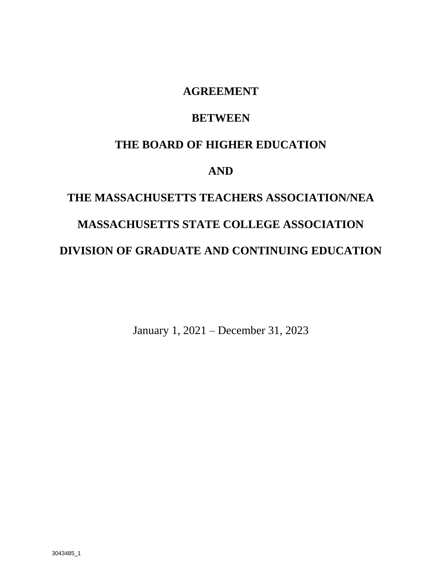### **AGREEMENT**

### **BETWEEN**

### **THE BOARD OF HIGHER EDUCATION**

### **AND**

# **THE MASSACHUSETTS TEACHERS ASSOCIATION/NEA MASSACHUSETTS STATE COLLEGE ASSOCIATION DIVISION OF GRADUATE AND CONTINUING EDUCATION**

January 1, 2021 – December 31, 2023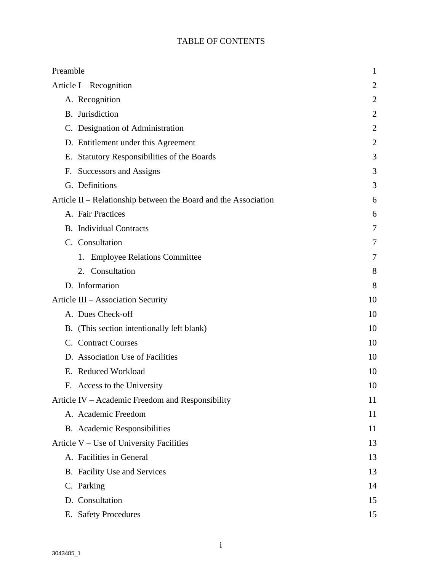### TABLE OF CONTENTS

| Preamble                                                        | 1              |
|-----------------------------------------------------------------|----------------|
| Article $I - Reognition$                                        | 2              |
| A. Recognition                                                  | $\overline{2}$ |
| B. Jurisdiction                                                 | 2              |
| C. Designation of Administration                                | $\overline{2}$ |
| D. Entitlement under this Agreement                             | $\overline{2}$ |
| Statutory Responsibilities of the Boards<br>Е.                  | 3              |
| Successors and Assigns<br>F.                                    | 3              |
| G. Definitions                                                  | 3              |
| Article II – Relationship between the Board and the Association | 6              |
| A. Fair Practices                                               | 6              |
| <b>B.</b> Individual Contracts                                  | 7              |
| C. Consultation                                                 | 7              |
| 1. Employee Relations Committee                                 | 7              |
| 2. Consultation                                                 | 8              |
| D. Information                                                  | 8              |
| Article III – Association Security                              | 10             |
| A. Dues Check-off                                               | 10             |
| B. (This section intentionally left blank)                      | 10             |
| C. Contract Courses                                             | 10             |
| D. Association Use of Facilities                                | 10             |
| E. Reduced Workload                                             | 10             |
| F. Access to the University                                     | 10             |
| Article IV – Academic Freedom and Responsibility                | 11             |
| A. Academic Freedom                                             | 11             |
| B. Academic Responsibilities                                    | 11             |
| Article V – Use of University Facilities                        | 13             |
| A. Facilities in General                                        | 13             |
| B. Facility Use and Services                                    | 13             |
| C. Parking                                                      | 14             |
| D. Consultation                                                 | 15             |
| E. Safety Procedures                                            | 15             |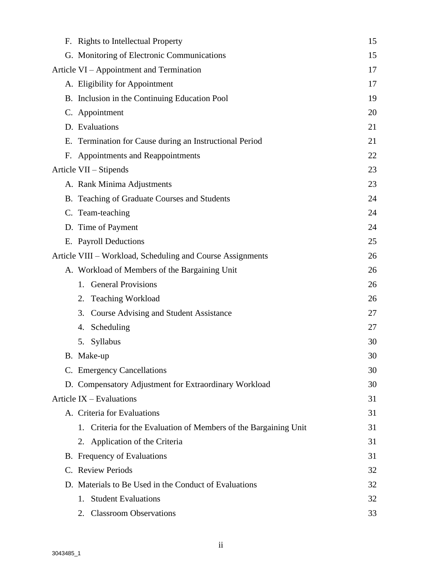|    | F. Rights to Intellectual Property                               | 15 |
|----|------------------------------------------------------------------|----|
|    | G. Monitoring of Electronic Communications                       | 15 |
|    | Article VI – Appointment and Termination                         | 17 |
|    | A. Eligibility for Appointment                                   | 17 |
|    | B. Inclusion in the Continuing Education Pool                    | 19 |
|    | C. Appointment                                                   | 20 |
|    | D. Evaluations                                                   | 21 |
|    | E. Termination for Cause during an Instructional Period          | 21 |
| F. | Appointments and Reappointments                                  | 22 |
|    | Article VII – Stipends                                           | 23 |
|    | A. Rank Minima Adjustments                                       | 23 |
|    | B. Teaching of Graduate Courses and Students                     | 24 |
|    | C. Team-teaching                                                 | 24 |
|    | D. Time of Payment                                               | 24 |
|    | E. Payroll Deductions                                            | 25 |
|    | Article VIII – Workload, Scheduling and Course Assignments       | 26 |
|    | A. Workload of Members of the Bargaining Unit                    | 26 |
|    | 1. General Provisions                                            | 26 |
|    | <b>Teaching Workload</b><br>2.                                   | 26 |
|    | <b>Course Advising and Student Assistance</b><br>3.              | 27 |
|    | Scheduling<br>4.                                                 | 27 |
|    | 5. Syllabus                                                      | 30 |
|    | B. Make-up                                                       | 30 |
|    | C. Emergency Cancellations                                       | 30 |
|    | D. Compensatory Adjustment for Extraordinary Workload            | 30 |
|    | Article $IX - Evaluations$                                       | 31 |
|    | A. Criteria for Evaluations                                      | 31 |
|    | 1. Criteria for the Evaluation of Members of the Bargaining Unit | 31 |
|    | 2. Application of the Criteria                                   | 31 |
|    | <b>B.</b> Frequency of Evaluations                               | 31 |
|    | C. Review Periods                                                | 32 |
|    | D. Materials to Be Used in the Conduct of Evaluations            | 32 |
|    | <b>Student Evaluations</b><br>1.                                 | 32 |
|    | 2. Classroom Observations                                        | 33 |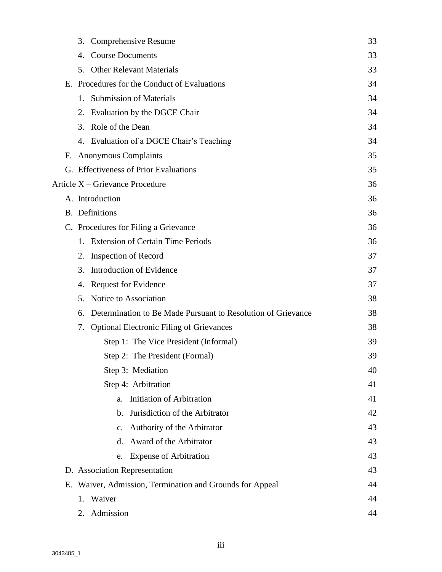|    | 3.      | Comprehensive Resume                                         | 33 |
|----|---------|--------------------------------------------------------------|----|
|    | 4.      | <b>Course Documents</b>                                      | 33 |
|    | 5.      | <b>Other Relevant Materials</b>                              | 33 |
|    |         | E. Procedures for the Conduct of Evaluations                 | 34 |
|    | 1.      | <b>Submission of Materials</b>                               | 34 |
|    | 2.      | Evaluation by the DGCE Chair                                 | 34 |
|    | 3.      | Role of the Dean                                             | 34 |
|    |         | 4. Evaluation of a DGCE Chair's Teaching                     | 34 |
| F. |         | <b>Anonymous Complaints</b>                                  | 35 |
|    |         | G. Effectiveness of Prior Evaluations                        | 35 |
|    |         | Article X - Grievance Procedure                              | 36 |
|    |         | A. Introduction                                              | 36 |
|    |         | <b>B.</b> Definitions                                        | 36 |
|    |         | C. Procedures for Filing a Grievance                         | 36 |
|    | $1_{-}$ | <b>Extension of Certain Time Periods</b>                     | 36 |
|    | 2.      | <b>Inspection of Record</b>                                  | 37 |
|    | 3.      | Introduction of Evidence                                     | 37 |
|    | 4.      | <b>Request for Evidence</b>                                  | 37 |
|    | 5.      | Notice to Association                                        | 38 |
|    | 6.      | Determination to Be Made Pursuant to Resolution of Grievance | 38 |
|    | 7.      | <b>Optional Electronic Filing of Grievances</b>              | 38 |
|    |         | Step 1: The Vice President (Informal)                        | 39 |
|    |         | Step 2: The President (Formal)                               | 39 |
|    |         | Step 3: Mediation                                            | 40 |
|    |         | Step 4: Arbitration                                          | 41 |
|    |         | <b>Initiation of Arbitration</b><br>a.                       | 41 |
|    |         | Jurisdiction of the Arbitrator<br>$\mathbf{b}$ .             | 42 |
|    |         | <b>Authority of the Arbitrator</b><br>$\mathbf{c}$ .         | 43 |
|    |         | Award of the Arbitrator<br>d.                                | 43 |
|    |         | <b>Expense of Arbitration</b><br>e.                          | 43 |
|    |         | D. Association Representation                                | 43 |
| Е. |         | Waiver, Admission, Termination and Grounds for Appeal        | 44 |
|    | 1.      | Waiver                                                       | 44 |
|    | 2.      | Admission                                                    | 44 |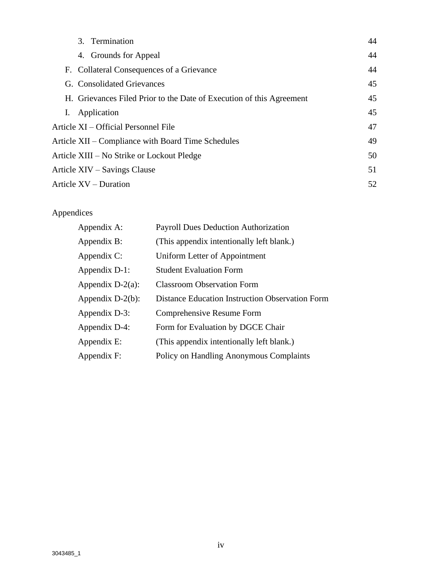| 3. Termination                                                       | 44 |
|----------------------------------------------------------------------|----|
| 4. Grounds for Appeal                                                | 44 |
| F. Collateral Consequences of a Grievance                            | 44 |
| G. Consolidated Grievances                                           | 45 |
| H. Grievances Filed Prior to the Date of Execution of this Agreement | 45 |
| Application<br>Ι.                                                    | 45 |
| Article XI – Official Personnel File                                 | 47 |
| Article XII – Compliance with Board Time Schedules                   | 49 |
| Article XIII – No Strike or Lockout Pledge                           | 50 |
| Article XIV – Savings Clause                                         | 51 |
| Article XV – Duration                                                | 52 |

### Appendices

| Appendix A:         | <b>Payroll Dues Deduction Authorization</b>            |
|---------------------|--------------------------------------------------------|
| Appendix B:         | (This appendix intentionally left blank.)              |
| Appendix C:         | Uniform Letter of Appointment                          |
| Appendix D-1:       | <b>Student Evaluation Form</b>                         |
| Appendix $D-2(a)$ : | <b>Classroom Observation Form</b>                      |
| Appendix $D-2(b)$ : | <b>Distance Education Instruction Observation Form</b> |
| Appendix D-3:       | Comprehensive Resume Form                              |
| Appendix D-4:       | Form for Evaluation by DGCE Chair                      |
| Appendix E:         | (This appendix intentionally left blank.)              |
| Appendix F:         | Policy on Handling Anonymous Complaints                |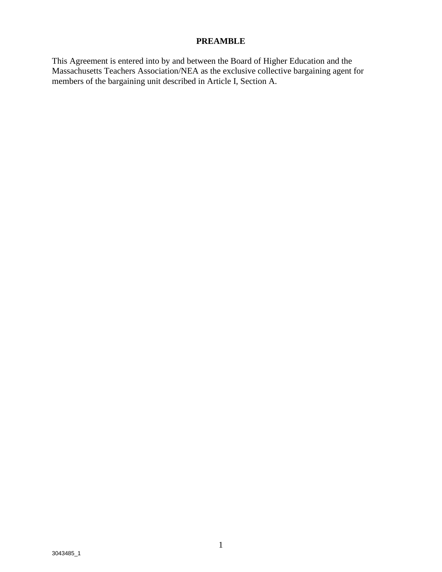#### **PREAMBLE**

This Agreement is entered into by and between the Board of Higher Education and the Massachusetts Teachers Association/NEA as the exclusive collective bargaining agent for members of the bargaining unit described in Article I, Section A.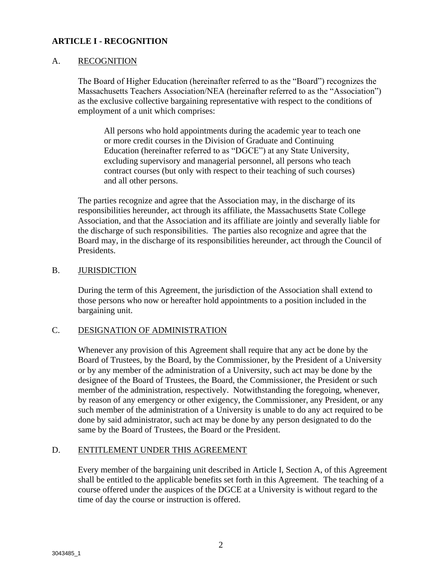#### **ARTICLE I - RECOGNITION**

#### A. RECOGNITION

The Board of Higher Education (hereinafter referred to as the "Board") recognizes the Massachusetts Teachers Association/NEA (hereinafter referred to as the "Association") as the exclusive collective bargaining representative with respect to the conditions of employment of a unit which comprises:

All persons who hold appointments during the academic year to teach one or more credit courses in the Division of Graduate and Continuing Education (hereinafter referred to as "DGCE") at any State University, excluding supervisory and managerial personnel, all persons who teach contract courses (but only with respect to their teaching of such courses) and all other persons.

The parties recognize and agree that the Association may, in the discharge of its responsibilities hereunder, act through its affiliate, the Massachusetts State College Association, and that the Association and its affiliate are jointly and severally liable for the discharge of such responsibilities. The parties also recognize and agree that the Board may, in the discharge of its responsibilities hereunder, act through the Council of Presidents.

#### B. JURISDICTION

During the term of this Agreement, the jurisdiction of the Association shall extend to those persons who now or hereafter hold appointments to a position included in the bargaining unit.

#### C. DESIGNATION OF ADMINISTRATION

Whenever any provision of this Agreement shall require that any act be done by the Board of Trustees, by the Board, by the Commissioner, by the President of a University or by any member of the administration of a University, such act may be done by the designee of the Board of Trustees, the Board, the Commissioner, the President or such member of the administration, respectively. Notwithstanding the foregoing, whenever, by reason of any emergency or other exigency, the Commissioner, any President, or any such member of the administration of a University is unable to do any act required to be done by said administrator, such act may be done by any person designated to do the same by the Board of Trustees, the Board or the President.

#### D. ENTITLEMENT UNDER THIS AGREEMENT

Every member of the bargaining unit described in Article I, Section A, of this Agreement shall be entitled to the applicable benefits set forth in this Agreement. The teaching of a course offered under the auspices of the DGCE at a University is without regard to the time of day the course or instruction is offered.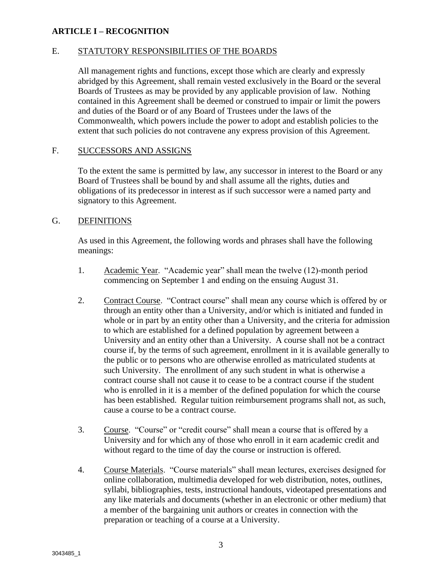#### **ARTICLE I – RECOGNITION**

#### E. STATUTORY RESPONSIBILITIES OF THE BOARDS

All management rights and functions, except those which are clearly and expressly abridged by this Agreement, shall remain vested exclusively in the Board or the several Boards of Trustees as may be provided by any applicable provision of law. Nothing contained in this Agreement shall be deemed or construed to impair or limit the powers and duties of the Board or of any Board of Trustees under the laws of the Commonwealth, which powers include the power to adopt and establish policies to the extent that such policies do not contravene any express provision of this Agreement.

#### F. SUCCESSORS AND ASSIGNS

To the extent the same is permitted by law, any successor in interest to the Board or any Board of Trustees shall be bound by and shall assume all the rights, duties and obligations of its predecessor in interest as if such successor were a named party and signatory to this Agreement.

#### G. DEFINITIONS

As used in this Agreement, the following words and phrases shall have the following meanings:

- 1. Academic Year. "Academic year" shall mean the twelve (12)-month period commencing on September 1 and ending on the ensuing August 31.
- 2. Contract Course. "Contract course" shall mean any course which is offered by or through an entity other than a University, and/or which is initiated and funded in whole or in part by an entity other than a University, and the criteria for admission to which are established for a defined population by agreement between a University and an entity other than a University. A course shall not be a contract course if, by the terms of such agreement, enrollment in it is available generally to the public or to persons who are otherwise enrolled as matriculated students at such University. The enrollment of any such student in what is otherwise a contract course shall not cause it to cease to be a contract course if the student who is enrolled in it is a member of the defined population for which the course has been established. Regular tuition reimbursement programs shall not, as such, cause a course to be a contract course.
- 3. Course. "Course" or "credit course" shall mean a course that is offered by a University and for which any of those who enroll in it earn academic credit and without regard to the time of day the course or instruction is offered.
- 4. Course Materials. "Course materials" shall mean lectures, exercises designed for online collaboration, multimedia developed for web distribution, notes, outlines, syllabi, bibliographies, tests, instructional handouts, videotaped presentations and any like materials and documents (whether in an electronic or other medium) that a member of the bargaining unit authors or creates in connection with the preparation or teaching of a course at a University.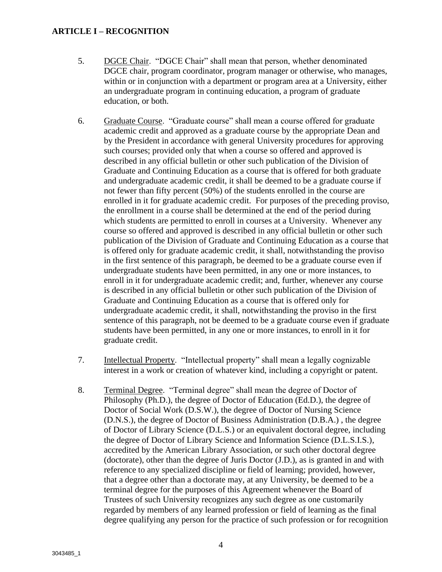#### **ARTICLE I – RECOGNITION**

- 5. DGCE Chair. "DGCE Chair" shall mean that person, whether denominated DGCE chair, program coordinator, program manager or otherwise, who manages, within or in conjunction with a department or program area at a University, either an undergraduate program in continuing education, a program of graduate education, or both.
- 6. Graduate Course. "Graduate course" shall mean a course offered for graduate academic credit and approved as a graduate course by the appropriate Dean and by the President in accordance with general University procedures for approving such courses; provided only that when a course so offered and approved is described in any official bulletin or other such publication of the Division of Graduate and Continuing Education as a course that is offered for both graduate and undergraduate academic credit, it shall be deemed to be a graduate course if not fewer than fifty percent (50%) of the students enrolled in the course are enrolled in it for graduate academic credit. For purposes of the preceding proviso, the enrollment in a course shall be determined at the end of the period during which students are permitted to enroll in courses at a University. Whenever any course so offered and approved is described in any official bulletin or other such publication of the Division of Graduate and Continuing Education as a course that is offered only for graduate academic credit, it shall, notwithstanding the proviso in the first sentence of this paragraph, be deemed to be a graduate course even if undergraduate students have been permitted, in any one or more instances, to enroll in it for undergraduate academic credit; and, further, whenever any course is described in any official bulletin or other such publication of the Division of Graduate and Continuing Education as a course that is offered only for undergraduate academic credit, it shall, notwithstanding the proviso in the first sentence of this paragraph, not be deemed to be a graduate course even if graduate students have been permitted, in any one or more instances, to enroll in it for graduate credit.
- 7. Intellectual Property. "Intellectual property" shall mean a legally cognizable interest in a work or creation of whatever kind, including a copyright or patent.
- 8. Terminal Degree. "Terminal degree" shall mean the degree of Doctor of Philosophy (Ph.D.), the degree of Doctor of Education (Ed.D.), the degree of Doctor of Social Work (D.S.W.), the degree of Doctor of Nursing Science (D.N.S.), the degree of Doctor of Business Administration (D.B.A.) , the degree of Doctor of Library Science (D.L.S.) or an equivalent doctoral degree, including the degree of Doctor of Library Science and Information Science (D.L.S.I.S.), accredited by the American Library Association, or such other doctoral degree (doctorate), other than the degree of Juris Doctor (J.D.), as is granted in and with reference to any specialized discipline or field of learning; provided, however, that a degree other than a doctorate may, at any University, be deemed to be a terminal degree for the purposes of this Agreement whenever the Board of Trustees of such University recognizes any such degree as one customarily regarded by members of any learned profession or field of learning as the final degree qualifying any person for the practice of such profession or for recognition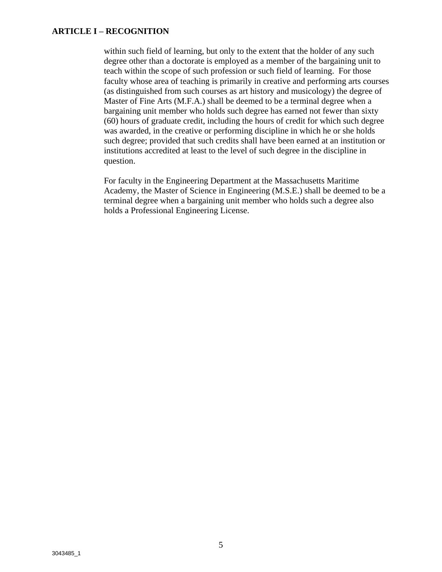#### **ARTICLE I – RECOGNITION**

within such field of learning, but only to the extent that the holder of any such degree other than a doctorate is employed as a member of the bargaining unit to teach within the scope of such profession or such field of learning. For those faculty whose area of teaching is primarily in creative and performing arts courses (as distinguished from such courses as art history and musicology) the degree of Master of Fine Arts (M.F.A.) shall be deemed to be a terminal degree when a bargaining unit member who holds such degree has earned not fewer than sixty (60) hours of graduate credit, including the hours of credit for which such degree was awarded, in the creative or performing discipline in which he or she holds such degree; provided that such credits shall have been earned at an institution or institutions accredited at least to the level of such degree in the discipline in question.

For faculty in the Engineering Department at the Massachusetts Maritime Academy, the Master of Science in Engineering (M.S.E.) shall be deemed to be a terminal degree when a bargaining unit member who holds such a degree also holds a Professional Engineering License.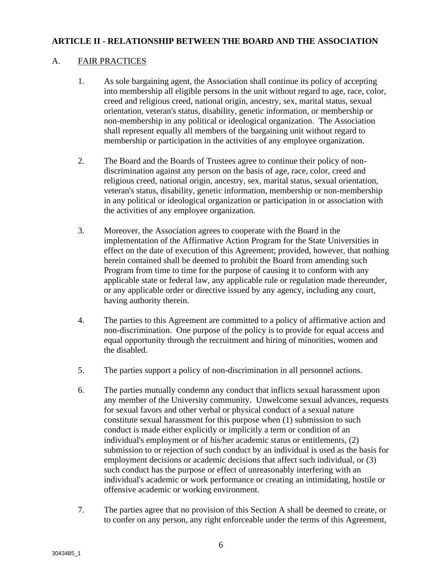#### A. FAIR PRACTICES

- 1. As sole bargaining agent, the Association shall continue its policy of accepting into membership all eligible persons in the unit without regard to age, race, color, creed and religious creed, national origin, ancestry, sex, marital status, sexual orientation, veteran's status, disability, genetic information, or membership or non-membership in any political or ideological organization. The Association shall represent equally all members of the bargaining unit without regard to membership or participation in the activities of any employee organization.
- 2. The Board and the Boards of Trustees agree to continue their policy of nondiscrimination against any person on the basis of age, race, color, creed and religious creed, national origin, ancestry, sex, marital status, sexual orientation, veteran's status, disability, genetic information, membership or non-membership in any political or ideological organization or participation in or association with the activities of any employee organization.
- 3. Moreover, the Association agrees to cooperate with the Board in the implementation of the Affirmative Action Program for the State Universities in effect on the date of execution of this Agreement; provided, however, that nothing herein contained shall be deemed to prohibit the Board from amending such Program from time to time for the purpose of causing it to conform with any applicable state or federal law, any applicable rule or regulation made thereunder, or any applicable order or directive issued by any agency, including any court, having authority therein.
- 4. The parties to this Agreement are committed to a policy of affirmative action and non-discrimination. One purpose of the policy is to provide for equal access and equal opportunity through the recruitment and hiring of minorities, women and the disabled.
- 5. The parties support a policy of non-discrimination in all personnel actions.
- 6. The parties mutually condemn any conduct that inflicts sexual harassment upon any member of the University community. Unwelcome sexual advances, requests for sexual favors and other verbal or physical conduct of a sexual nature constitute sexual harassment for this purpose when (1) submission to such conduct is made either explicitly or implicitly a term or condition of an individual's employment or of his/her academic status or entitlements, (2) submission to or rejection of such conduct by an individual is used as the basis for employment decisions or academic decisions that affect such individual, or (3) such conduct has the purpose or effect of unreasonably interfering with an individual's academic or work performance or creating an intimidating, hostile or offensive academic or working environment.
- 7. The parties agree that no provision of this Section A shall be deemed to create, or to confer on any person, any right enforceable under the terms of this Agreement,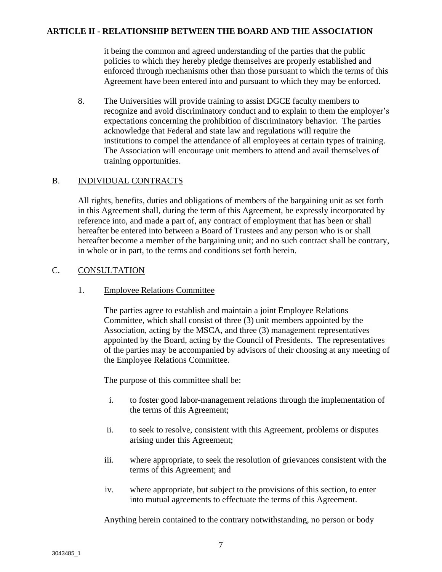it being the common and agreed understanding of the parties that the public policies to which they hereby pledge themselves are properly established and enforced through mechanisms other than those pursuant to which the terms of this Agreement have been entered into and pursuant to which they may be enforced.

8. The Universities will provide training to assist DGCE faculty members to recognize and avoid discriminatory conduct and to explain to them the employer's expectations concerning the prohibition of discriminatory behavior. The parties acknowledge that Federal and state law and regulations will require the institutions to compel the attendance of all employees at certain types of training. The Association will encourage unit members to attend and avail themselves of training opportunities.

#### B. INDIVIDUAL CONTRACTS

All rights, benefits, duties and obligations of members of the bargaining unit as set forth in this Agreement shall, during the term of this Agreement, be expressly incorporated by reference into, and made a part of, any contract of employment that has been or shall hereafter be entered into between a Board of Trustees and any person who is or shall hereafter become a member of the bargaining unit; and no such contract shall be contrary, in whole or in part, to the terms and conditions set forth herein.

#### C. CONSULTATION

#### 1. Employee Relations Committee

The parties agree to establish and maintain a joint Employee Relations Committee, which shall consist of three (3) unit members appointed by the Association, acting by the MSCA, and three (3) management representatives appointed by the Board, acting by the Council of Presidents. The representatives of the parties may be accompanied by advisors of their choosing at any meeting of the Employee Relations Committee.

The purpose of this committee shall be:

- i. to foster good labor-management relations through the implementation of the terms of this Agreement;
- ii. to seek to resolve, consistent with this Agreement, problems or disputes arising under this Agreement;
- iii. where appropriate, to seek the resolution of grievances consistent with the terms of this Agreement; and
- iv. where appropriate, but subject to the provisions of this section, to enter into mutual agreements to effectuate the terms of this Agreement.

Anything herein contained to the contrary notwithstanding, no person or body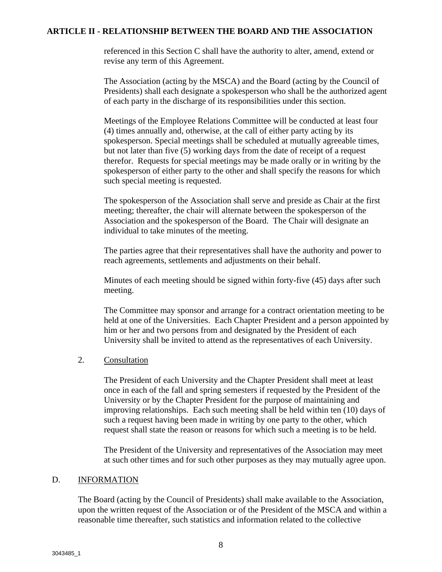referenced in this Section C shall have the authority to alter, amend, extend or revise any term of this Agreement.

The Association (acting by the MSCA) and the Board (acting by the Council of Presidents) shall each designate a spokesperson who shall be the authorized agent of each party in the discharge of its responsibilities under this section.

Meetings of the Employee Relations Committee will be conducted at least four (4) times annually and, otherwise, at the call of either party acting by its spokesperson. Special meetings shall be scheduled at mutually agreeable times, but not later than five (5) working days from the date of receipt of a request therefor. Requests for special meetings may be made orally or in writing by the spokesperson of either party to the other and shall specify the reasons for which such special meeting is requested.

The spokesperson of the Association shall serve and preside as Chair at the first meeting; thereafter, the chair will alternate between the spokesperson of the Association and the spokesperson of the Board. The Chair will designate an individual to take minutes of the meeting.

The parties agree that their representatives shall have the authority and power to reach agreements, settlements and adjustments on their behalf.

Minutes of each meeting should be signed within forty-five (45) days after such meeting.

The Committee may sponsor and arrange for a contract orientation meeting to be held at one of the Universities. Each Chapter President and a person appointed by him or her and two persons from and designated by the President of each University shall be invited to attend as the representatives of each University.

#### 2. Consultation

The President of each University and the Chapter President shall meet at least once in each of the fall and spring semesters if requested by the President of the University or by the Chapter President for the purpose of maintaining and improving relationships. Each such meeting shall be held within ten (10) days of such a request having been made in writing by one party to the other, which request shall state the reason or reasons for which such a meeting is to be held.

The President of the University and representatives of the Association may meet at such other times and for such other purposes as they may mutually agree upon.

#### D. INFORMATION

The Board (acting by the Council of Presidents) shall make available to the Association, upon the written request of the Association or of the President of the MSCA and within a reasonable time thereafter, such statistics and information related to the collective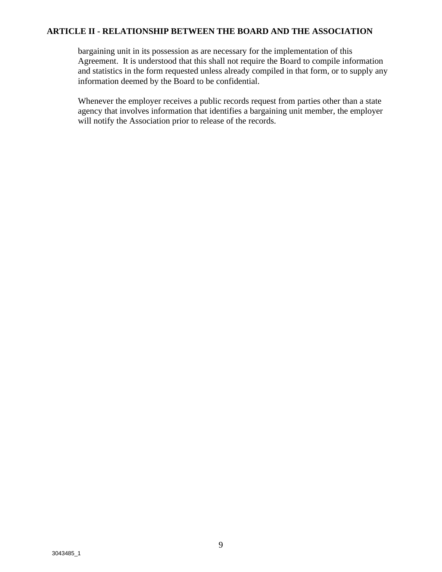bargaining unit in its possession as are necessary for the implementation of this Agreement. It is understood that this shall not require the Board to compile information and statistics in the form requested unless already compiled in that form, or to supply any information deemed by the Board to be confidential.

Whenever the employer receives a public records request from parties other than a state agency that involves information that identifies a bargaining unit member, the employer will notify the Association prior to release of the records.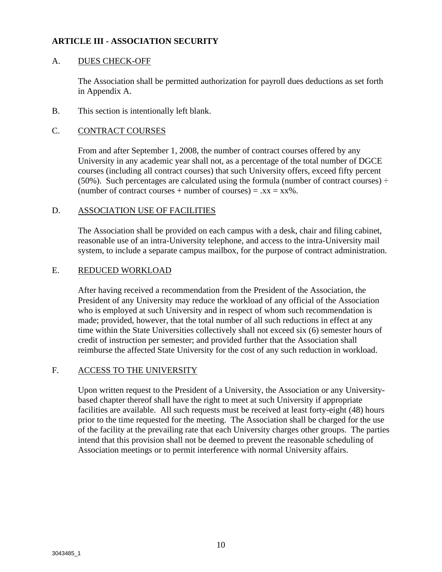#### **ARTICLE III - ASSOCIATION SECURITY**

#### A. DUES CHECK-OFF

The Association shall be permitted authorization for payroll dues deductions as set forth in Appendix A.

B. This section is intentionally left blank.

#### C. CONTRACT COURSES

From and after September 1, 2008, the number of contract courses offered by any University in any academic year shall not, as a percentage of the total number of DGCE courses (including all contract courses) that such University offers, exceed fifty percent (50%). Such percentages are calculated using the formula (number of contract courses)  $\div$ (number of contract courses + number of courses) =  $.xx = xx\%$ .

#### D. ASSOCIATION USE OF FACILITIES

The Association shall be provided on each campus with a desk, chair and filing cabinet, reasonable use of an intra-University telephone, and access to the intra-University mail system, to include a separate campus mailbox, for the purpose of contract administration.

#### E. REDUCED WORKLOAD

After having received a recommendation from the President of the Association, the President of any University may reduce the workload of any official of the Association who is employed at such University and in respect of whom such recommendation is made; provided, however, that the total number of all such reductions in effect at any time within the State Universities collectively shall not exceed six (6) semester hours of credit of instruction per semester; and provided further that the Association shall reimburse the affected State University for the cost of any such reduction in workload.

#### F. ACCESS TO THE UNIVERSITY

Upon written request to the President of a University, the Association or any Universitybased chapter thereof shall have the right to meet at such University if appropriate facilities are available. All such requests must be received at least forty-eight (48) hours prior to the time requested for the meeting. The Association shall be charged for the use of the facility at the prevailing rate that each University charges other groups. The parties intend that this provision shall not be deemed to prevent the reasonable scheduling of Association meetings or to permit interference with normal University affairs.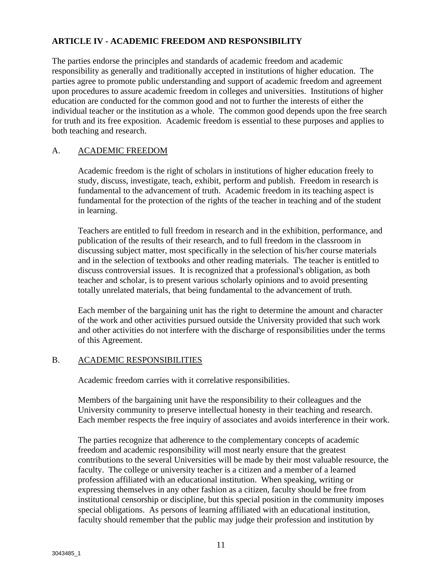#### **ARTICLE IV - ACADEMIC FREEDOM AND RESPONSIBILITY**

The parties endorse the principles and standards of academic freedom and academic responsibility as generally and traditionally accepted in institutions of higher education. The parties agree to promote public understanding and support of academic freedom and agreement upon procedures to assure academic freedom in colleges and universities. Institutions of higher education are conducted for the common good and not to further the interests of either the individual teacher or the institution as a whole. The common good depends upon the free search for truth and its free exposition. Academic freedom is essential to these purposes and applies to both teaching and research.

#### A. ACADEMIC FREEDOM

Academic freedom is the right of scholars in institutions of higher education freely to study, discuss, investigate, teach, exhibit, perform and publish. Freedom in research is fundamental to the advancement of truth. Academic freedom in its teaching aspect is fundamental for the protection of the rights of the teacher in teaching and of the student in learning.

Teachers are entitled to full freedom in research and in the exhibition, performance, and publication of the results of their research, and to full freedom in the classroom in discussing subject matter, most specifically in the selection of his/her course materials and in the selection of textbooks and other reading materials. The teacher is entitled to discuss controversial issues. It is recognized that a professional's obligation, as both teacher and scholar, is to present various scholarly opinions and to avoid presenting totally unrelated materials, that being fundamental to the advancement of truth.

Each member of the bargaining unit has the right to determine the amount and character of the work and other activities pursued outside the University provided that such work and other activities do not interfere with the discharge of responsibilities under the terms of this Agreement.

#### B. ACADEMIC RESPONSIBILITIES

Academic freedom carries with it correlative responsibilities.

Members of the bargaining unit have the responsibility to their colleagues and the University community to preserve intellectual honesty in their teaching and research. Each member respects the free inquiry of associates and avoids interference in their work.

The parties recognize that adherence to the complementary concepts of academic freedom and academic responsibility will most nearly ensure that the greatest contributions to the several Universities will be made by their most valuable resource, the faculty. The college or university teacher is a citizen and a member of a learned profession affiliated with an educational institution. When speaking, writing or expressing themselves in any other fashion as a citizen, faculty should be free from institutional censorship or discipline, but this special position in the community imposes special obligations. As persons of learning affiliated with an educational institution, faculty should remember that the public may judge their profession and institution by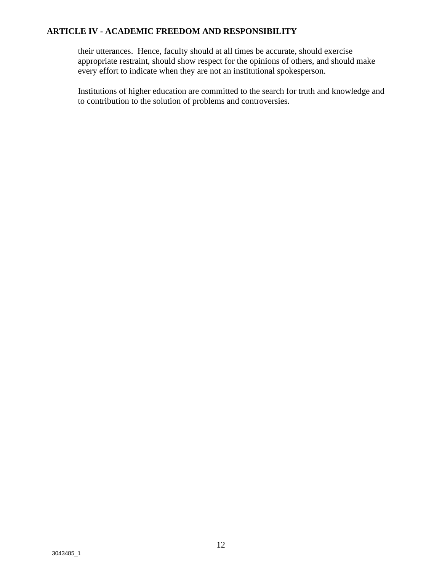#### **ARTICLE IV - ACADEMIC FREEDOM AND RESPONSIBILITY**

their utterances. Hence, faculty should at all times be accurate, should exercise appropriate restraint, should show respect for the opinions of others, and should make every effort to indicate when they are not an institutional spokesperson.

Institutions of higher education are committed to the search for truth and knowledge and to contribution to the solution of problems and controversies.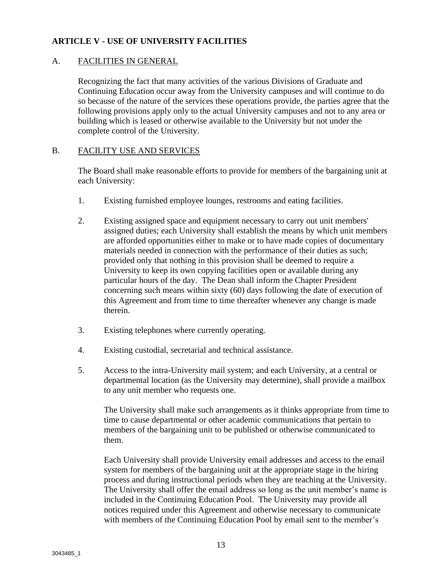#### A. FACILITIES IN GENERAL

Recognizing the fact that many activities of the various Divisions of Graduate and Continuing Education occur away from the University campuses and will continue to do so because of the nature of the services these operations provide, the parties agree that the following provisions apply only to the actual University campuses and not to any area or building which is leased or otherwise available to the University but not under the complete control of the University.

#### B. FACILITY USE AND SERVICES

The Board shall make reasonable efforts to provide for members of the bargaining unit at each University:

- 1. Existing furnished employee lounges, restrooms and eating facilities.
- 2. Existing assigned space and equipment necessary to carry out unit members' assigned duties; each University shall establish the means by which unit members are afforded opportunities either to make or to have made copies of documentary materials needed in connection with the performance of their duties as such; provided only that nothing in this provision shall be deemed to require a University to keep its own copying facilities open or available during any particular hours of the day. The Dean shall inform the Chapter President concerning such means within sixty (60) days following the date of execution of this Agreement and from time to time thereafter whenever any change is made therein.
- 3. Existing telephones where currently operating.
- 4. Existing custodial, secretarial and technical assistance.
- 5. Access to the intra-University mail system; and each University, at a central or departmental location (as the University may determine), shall provide a mailbox to any unit member who requests one.

The University shall make such arrangements as it thinks appropriate from time to time to cause departmental or other academic communications that pertain to members of the bargaining unit to be published or otherwise communicated to them.

Each University shall provide University email addresses and access to the email system for members of the bargaining unit at the appropriate stage in the hiring process and during instructional periods when they are teaching at the University. The University shall offer the email address so long as the unit member's name is included in the Continuing Education Pool. The University may provide all notices required under this Agreement and otherwise necessary to communicate with members of the Continuing Education Pool by email sent to the member's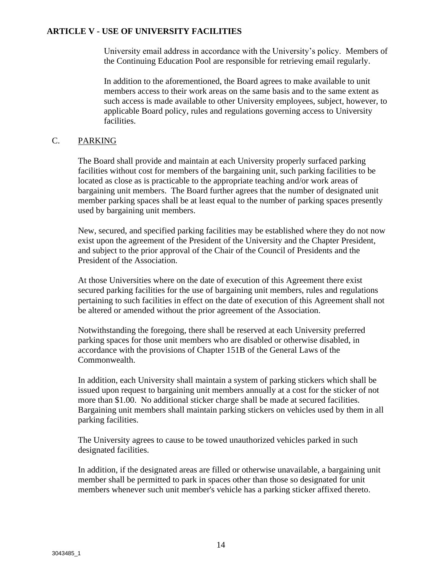University email address in accordance with the University's policy. Members of the Continuing Education Pool are responsible for retrieving email regularly.

In addition to the aforementioned, the Board agrees to make available to unit members access to their work areas on the same basis and to the same extent as such access is made available to other University employees, subject, however, to applicable Board policy, rules and regulations governing access to University facilities.

#### C. PARKING

The Board shall provide and maintain at each University properly surfaced parking facilities without cost for members of the bargaining unit, such parking facilities to be located as close as is practicable to the appropriate teaching and/or work areas of bargaining unit members. The Board further agrees that the number of designated unit member parking spaces shall be at least equal to the number of parking spaces presently used by bargaining unit members.

New, secured, and specified parking facilities may be established where they do not now exist upon the agreement of the President of the University and the Chapter President, and subject to the prior approval of the Chair of the Council of Presidents and the President of the Association.

At those Universities where on the date of execution of this Agreement there exist secured parking facilities for the use of bargaining unit members, rules and regulations pertaining to such facilities in effect on the date of execution of this Agreement shall not be altered or amended without the prior agreement of the Association.

Notwithstanding the foregoing, there shall be reserved at each University preferred parking spaces for those unit members who are disabled or otherwise disabled, in accordance with the provisions of Chapter 151B of the General Laws of the Commonwealth.

In addition, each University shall maintain a system of parking stickers which shall be issued upon request to bargaining unit members annually at a cost for the sticker of not more than \$1.00. No additional sticker charge shall be made at secured facilities. Bargaining unit members shall maintain parking stickers on vehicles used by them in all parking facilities.

The University agrees to cause to be towed unauthorized vehicles parked in such designated facilities.

In addition, if the designated areas are filled or otherwise unavailable, a bargaining unit member shall be permitted to park in spaces other than those so designated for unit members whenever such unit member's vehicle has a parking sticker affixed thereto.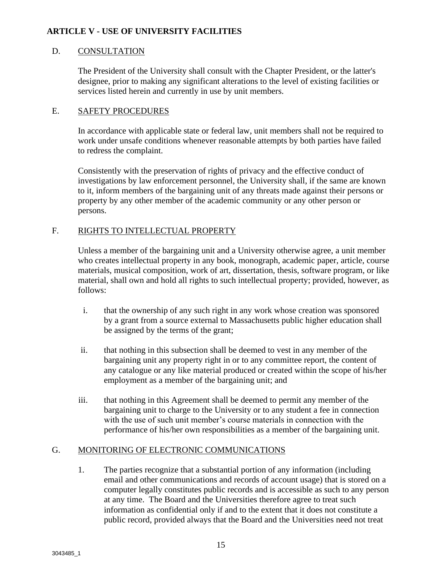#### D. CONSULTATION

The President of the University shall consult with the Chapter President, or the latter's designee, prior to making any significant alterations to the level of existing facilities or services listed herein and currently in use by unit members.

#### E. SAFETY PROCEDURES

In accordance with applicable state or federal law, unit members shall not be required to work under unsafe conditions whenever reasonable attempts by both parties have failed to redress the complaint.

Consistently with the preservation of rights of privacy and the effective conduct of investigations by law enforcement personnel, the University shall, if the same are known to it, inform members of the bargaining unit of any threats made against their persons or property by any other member of the academic community or any other person or persons.

#### F. RIGHTS TO INTELLECTUAL PROPERTY

Unless a member of the bargaining unit and a University otherwise agree, a unit member who creates intellectual property in any book, monograph, academic paper, article, course materials, musical composition, work of art, dissertation, thesis, software program, or like material, shall own and hold all rights to such intellectual property; provided, however, as follows:

- i. that the ownership of any such right in any work whose creation was sponsored by a grant from a source external to Massachusetts public higher education shall be assigned by the terms of the grant;
- ii. that nothing in this subsection shall be deemed to vest in any member of the bargaining unit any property right in or to any committee report, the content of any catalogue or any like material produced or created within the scope of his/her employment as a member of the bargaining unit; and
- iii. that nothing in this Agreement shall be deemed to permit any member of the bargaining unit to charge to the University or to any student a fee in connection with the use of such unit member's course materials in connection with the performance of his/her own responsibilities as a member of the bargaining unit.

#### G. MONITORING OF ELECTRONIC COMMUNICATIONS

1. The parties recognize that a substantial portion of any information (including email and other communications and records of account usage) that is stored on a computer legally constitutes public records and is accessible as such to any person at any time. The Board and the Universities therefore agree to treat such information as confidential only if and to the extent that it does not constitute a public record, provided always that the Board and the Universities need not treat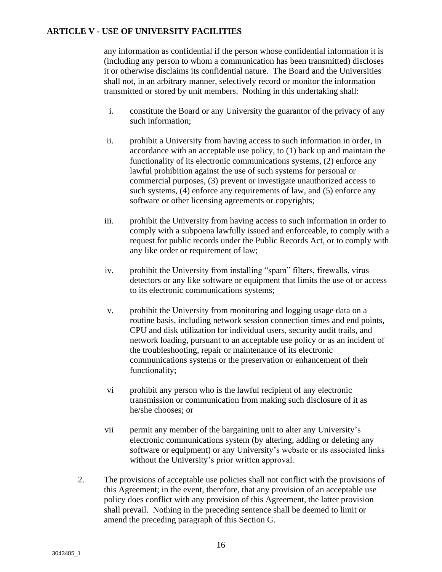any information as confidential if the person whose confidential information it is (including any person to whom a communication has been transmitted) discloses it or otherwise disclaims its confidential nature. The Board and the Universities shall not, in an arbitrary manner, selectively record or monitor the information transmitted or stored by unit members. Nothing in this undertaking shall:

- i. constitute the Board or any University the guarantor of the privacy of any such information;
- ii. prohibit a University from having access to such information in order, in accordance with an acceptable use policy, to (1) back up and maintain the functionality of its electronic communications systems, (2) enforce any lawful prohibition against the use of such systems for personal or commercial purposes, (3) prevent or investigate unauthorized access to such systems, (4) enforce any requirements of law, and (5) enforce any software or other licensing agreements or copyrights;
- iii. prohibit the University from having access to such information in order to comply with a subpoena lawfully issued and enforceable, to comply with a request for public records under the Public Records Act, or to comply with any like order or requirement of law;
- iv. prohibit the University from installing "spam" filters, firewalls, virus detectors or any like software or equipment that limits the use of or access to its electronic communications systems;
- v. prohibit the University from monitoring and logging usage data on a routine basis, including network session connection times and end points, CPU and disk utilization for individual users, security audit trails, and network loading, pursuant to an acceptable use policy or as an incident of the troubleshooting, repair or maintenance of its electronic communications systems or the preservation or enhancement of their functionality;
- vi prohibit any person who is the lawful recipient of any electronic transmission or communication from making such disclosure of it as he/she chooses; or
- vii permit any member of the bargaining unit to alter any University's electronic communications system (by altering, adding or deleting any software or equipment) or any University's website or its associated links without the University's prior written approval.
- 2. The provisions of acceptable use policies shall not conflict with the provisions of this Agreement; in the event, therefore, that any provision of an acceptable use policy does conflict with any provision of this Agreement, the latter provision shall prevail. Nothing in the preceding sentence shall be deemed to limit or amend the preceding paragraph of this Section G.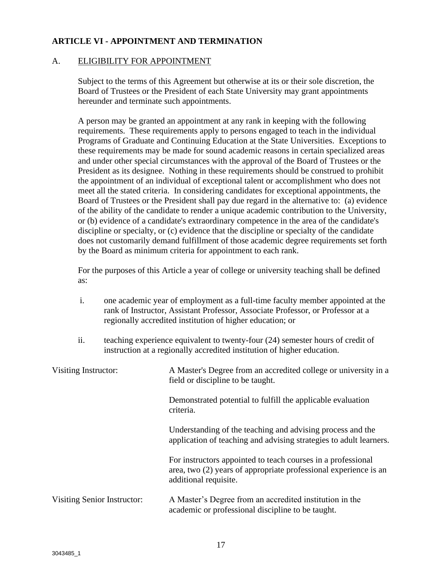#### A. ELIGIBILITY FOR APPOINTMENT

Subject to the terms of this Agreement but otherwise at its or their sole discretion, the Board of Trustees or the President of each State University may grant appointments hereunder and terminate such appointments.

A person may be granted an appointment at any rank in keeping with the following requirements. These requirements apply to persons engaged to teach in the individual Programs of Graduate and Continuing Education at the State Universities. Exceptions to these requirements may be made for sound academic reasons in certain specialized areas and under other special circumstances with the approval of the Board of Trustees or the President as its designee. Nothing in these requirements should be construed to prohibit the appointment of an individual of exceptional talent or accomplishment who does not meet all the stated criteria. In considering candidates for exceptional appointments, the Board of Trustees or the President shall pay due regard in the alternative to: (a) evidence of the ability of the candidate to render a unique academic contribution to the University, or (b) evidence of a candidate's extraordinary competence in the area of the candidate's discipline or specialty, or (c) evidence that the discipline or specialty of the candidate does not customarily demand fulfillment of those academic degree requirements set forth by the Board as minimum criteria for appointment to each rank.

For the purposes of this Article a year of college or university teaching shall be defined as:

- i. one academic year of employment as a full-time faculty member appointed at the rank of Instructor, Assistant Professor, Associate Professor, or Professor at a regionally accredited institution of higher education; or
- ii. teaching experience equivalent to twenty-four (24) semester hours of credit of instruction at a regionally accredited institution of higher education.

| Visiting Instructor:        | A Master's Degree from an accredited college or university in a<br>field or discipline to be taught.                                                      |  |
|-----------------------------|-----------------------------------------------------------------------------------------------------------------------------------------------------------|--|
|                             | Demonstrated potential to fulfill the applicable evaluation<br>criteria.                                                                                  |  |
|                             | Understanding of the teaching and advising process and the<br>application of teaching and advising strategies to adult learners.                          |  |
|                             | For instructors appointed to teach courses in a professional<br>area, two (2) years of appropriate professional experience is an<br>additional requisite. |  |
| Visiting Senior Instructor: | A Master's Degree from an accredited institution in the<br>academic or professional discipline to be taught.                                              |  |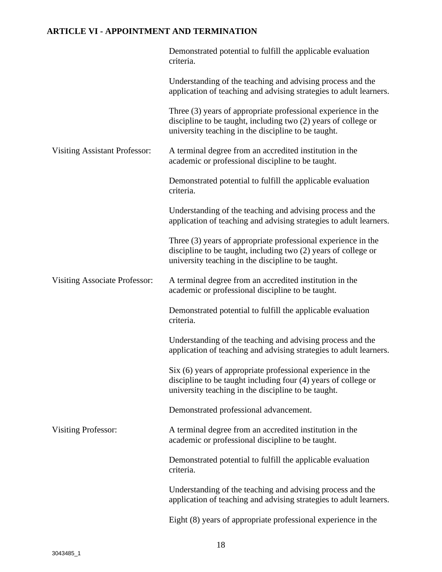|                                      | Demonstrated potential to fulfill the applicable evaluation<br>criteria.                                                                                                               |
|--------------------------------------|----------------------------------------------------------------------------------------------------------------------------------------------------------------------------------------|
|                                      | Understanding of the teaching and advising process and the<br>application of teaching and advising strategies to adult learners.                                                       |
|                                      | Three (3) years of appropriate professional experience in the<br>discipline to be taught, including two (2) years of college or<br>university teaching in the discipline to be taught. |
| <b>Visiting Assistant Professor:</b> | A terminal degree from an accredited institution in the<br>academic or professional discipline to be taught.                                                                           |
|                                      | Demonstrated potential to fulfill the applicable evaluation<br>criteria.                                                                                                               |
|                                      | Understanding of the teaching and advising process and the<br>application of teaching and advising strategies to adult learners.                                                       |
|                                      | Three (3) years of appropriate professional experience in the<br>discipline to be taught, including two (2) years of college or<br>university teaching in the discipline to be taught. |
| <b>Visiting Associate Professor:</b> | A terminal degree from an accredited institution in the<br>academic or professional discipline to be taught.                                                                           |
|                                      | Demonstrated potential to fulfill the applicable evaluation<br>criteria.                                                                                                               |
|                                      | Understanding of the teaching and advising process and the<br>application of teaching and advising strategies to adult learners.                                                       |
|                                      | Six (6) years of appropriate professional experience in the<br>discipline to be taught including four (4) years of college or<br>university teaching in the discipline to be taught.   |
|                                      | Demonstrated professional advancement.                                                                                                                                                 |
| <b>Visiting Professor:</b>           | A terminal degree from an accredited institution in the<br>academic or professional discipline to be taught.                                                                           |
|                                      | Demonstrated potential to fulfill the applicable evaluation<br>criteria.                                                                                                               |
|                                      | Understanding of the teaching and advising process and the<br>application of teaching and advising strategies to adult learners.                                                       |
|                                      | Eight (8) years of appropriate professional experience in the                                                                                                                          |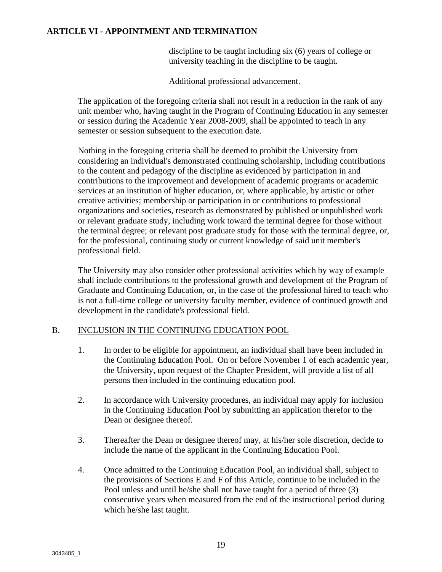discipline to be taught including six (6) years of college or university teaching in the discipline to be taught.

Additional professional advancement.

The application of the foregoing criteria shall not result in a reduction in the rank of any unit member who, having taught in the Program of Continuing Education in any semester or session during the Academic Year 2008-2009, shall be appointed to teach in any semester or session subsequent to the execution date.

Nothing in the foregoing criteria shall be deemed to prohibit the University from considering an individual's demonstrated continuing scholarship, including contributions to the content and pedagogy of the discipline as evidenced by participation in and contributions to the improvement and development of academic programs or academic services at an institution of higher education, or, where applicable, by artistic or other creative activities; membership or participation in or contributions to professional organizations and societies, research as demonstrated by published or unpublished work or relevant graduate study, including work toward the terminal degree for those without the terminal degree; or relevant post graduate study for those with the terminal degree, or, for the professional, continuing study or current knowledge of said unit member's professional field.

The University may also consider other professional activities which by way of example shall include contributions to the professional growth and development of the Program of Graduate and Continuing Education, or, in the case of the professional hired to teach who is not a full-time college or university faculty member, evidence of continued growth and development in the candidate's professional field.

#### B. INCLUSION IN THE CONTINUING EDUCATION POOL

- 1. In order to be eligible for appointment, an individual shall have been included in the Continuing Education Pool. On or before November 1 of each academic year, the University, upon request of the Chapter President, will provide a list of all persons then included in the continuing education pool.
- 2. In accordance with University procedures, an individual may apply for inclusion in the Continuing Education Pool by submitting an application therefor to the Dean or designee thereof.
- 3. Thereafter the Dean or designee thereof may, at his/her sole discretion, decide to include the name of the applicant in the Continuing Education Pool.
- 4. Once admitted to the Continuing Education Pool, an individual shall, subject to the provisions of Sections E and F of this Article, continue to be included in the Pool unless and until he/she shall not have taught for a period of three (3) consecutive years when measured from the end of the instructional period during which he/she last taught.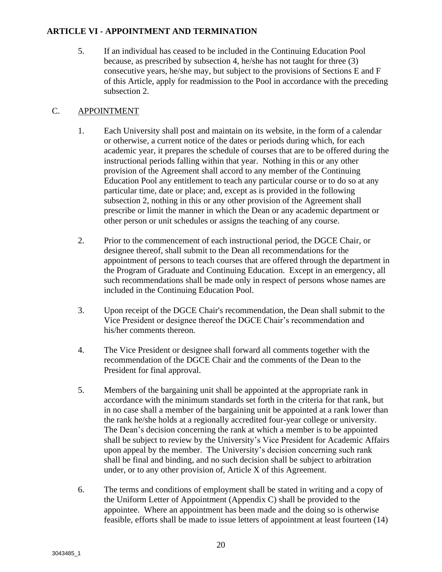5. If an individual has ceased to be included in the Continuing Education Pool because, as prescribed by subsection 4, he/she has not taught for three (3) consecutive years, he/she may, but subject to the provisions of Sections E and F of this Article, apply for readmission to the Pool in accordance with the preceding subsection 2.

#### C. APPOINTMENT

- 1. Each University shall post and maintain on its website, in the form of a calendar or otherwise, a current notice of the dates or periods during which, for each academic year, it prepares the schedule of courses that are to be offered during the instructional periods falling within that year. Nothing in this or any other provision of the Agreement shall accord to any member of the Continuing Education Pool any entitlement to teach any particular course or to do so at any particular time, date or place; and, except as is provided in the following subsection 2, nothing in this or any other provision of the Agreement shall prescribe or limit the manner in which the Dean or any academic department or other person or unit schedules or assigns the teaching of any course.
- 2. Prior to the commencement of each instructional period, the DGCE Chair, or designee thereof, shall submit to the Dean all recommendations for the appointment of persons to teach courses that are offered through the department in the Program of Graduate and Continuing Education. Except in an emergency, all such recommendations shall be made only in respect of persons whose names are included in the Continuing Education Pool.
- 3. Upon receipt of the DGCE Chair's recommendation, the Dean shall submit to the Vice President or designee thereof the DGCE Chair's recommendation and his/her comments thereon.
- 4. The Vice President or designee shall forward all comments together with the recommendation of the DGCE Chair and the comments of the Dean to the President for final approval.
- 5. Members of the bargaining unit shall be appointed at the appropriate rank in accordance with the minimum standards set forth in the criteria for that rank, but in no case shall a member of the bargaining unit be appointed at a rank lower than the rank he/she holds at a regionally accredited four-year college or university. The Dean's decision concerning the rank at which a member is to be appointed shall be subject to review by the University's Vice President for Academic Affairs upon appeal by the member. The University's decision concerning such rank shall be final and binding, and no such decision shall be subject to arbitration under, or to any other provision of, Article X of this Agreement.
- 6. The terms and conditions of employment shall be stated in writing and a copy of the Uniform Letter of Appointment (Appendix C) shall be provided to the appointee. Where an appointment has been made and the doing so is otherwise feasible, efforts shall be made to issue letters of appointment at least fourteen (14)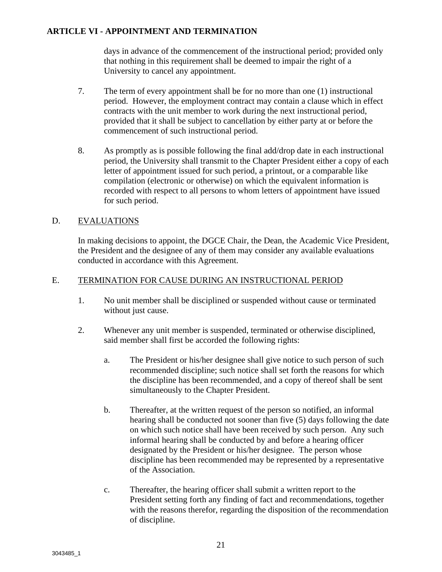days in advance of the commencement of the instructional period; provided only that nothing in this requirement shall be deemed to impair the right of a University to cancel any appointment.

- 7. The term of every appointment shall be for no more than one (1) instructional period. However, the employment contract may contain a clause which in effect contracts with the unit member to work during the next instructional period, provided that it shall be subject to cancellation by either party at or before the commencement of such instructional period.
- 8. As promptly as is possible following the final add/drop date in each instructional period, the University shall transmit to the Chapter President either a copy of each letter of appointment issued for such period, a printout, or a comparable like compilation (electronic or otherwise) on which the equivalent information is recorded with respect to all persons to whom letters of appointment have issued for such period.

#### D. EVALUATIONS

In making decisions to appoint, the DGCE Chair, the Dean, the Academic Vice President, the President and the designee of any of them may consider any available evaluations conducted in accordance with this Agreement.

#### E. TERMINATION FOR CAUSE DURING AN INSTRUCTIONAL PERIOD

- 1. No unit member shall be disciplined or suspended without cause or terminated without just cause.
- 2. Whenever any unit member is suspended, terminated or otherwise disciplined, said member shall first be accorded the following rights:
	- a. The President or his/her designee shall give notice to such person of such recommended discipline; such notice shall set forth the reasons for which the discipline has been recommended, and a copy of thereof shall be sent simultaneously to the Chapter President.
	- b. Thereafter, at the written request of the person so notified, an informal hearing shall be conducted not sooner than five (5) days following the date on which such notice shall have been received by such person. Any such informal hearing shall be conducted by and before a hearing officer designated by the President or his/her designee. The person whose discipline has been recommended may be represented by a representative of the Association.
	- c. Thereafter, the hearing officer shall submit a written report to the President setting forth any finding of fact and recommendations, together with the reasons therefor, regarding the disposition of the recommendation of discipline.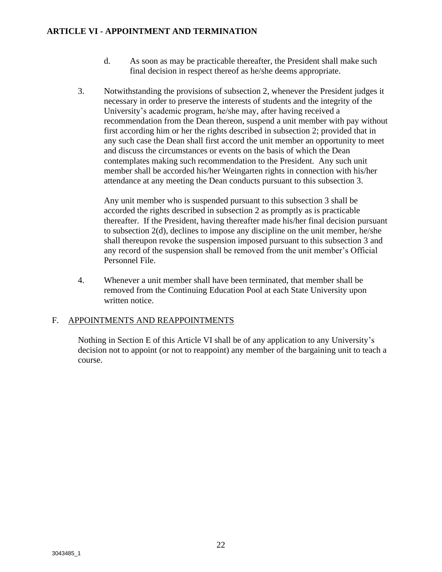- d. As soon as may be practicable thereafter, the President shall make such final decision in respect thereof as he/she deems appropriate.
- 3. Notwithstanding the provisions of subsection 2, whenever the President judges it necessary in order to preserve the interests of students and the integrity of the University's academic program, he/she may, after having received a recommendation from the Dean thereon, suspend a unit member with pay without first according him or her the rights described in subsection 2; provided that in any such case the Dean shall first accord the unit member an opportunity to meet and discuss the circumstances or events on the basis of which the Dean contemplates making such recommendation to the President. Any such unit member shall be accorded his/her Weingarten rights in connection with his/her attendance at any meeting the Dean conducts pursuant to this subsection 3.

Any unit member who is suspended pursuant to this subsection 3 shall be accorded the rights described in subsection 2 as promptly as is practicable thereafter. If the President, having thereafter made his/her final decision pursuant to subsection 2(d), declines to impose any discipline on the unit member, he/she shall thereupon revoke the suspension imposed pursuant to this subsection 3 and any record of the suspension shall be removed from the unit member's Official Personnel File.

4. Whenever a unit member shall have been terminated, that member shall be removed from the Continuing Education Pool at each State University upon written notice.

#### F. APPOINTMENTS AND REAPPOINTMENTS

Nothing in Section E of this Article VI shall be of any application to any University's decision not to appoint (or not to reappoint) any member of the bargaining unit to teach a course.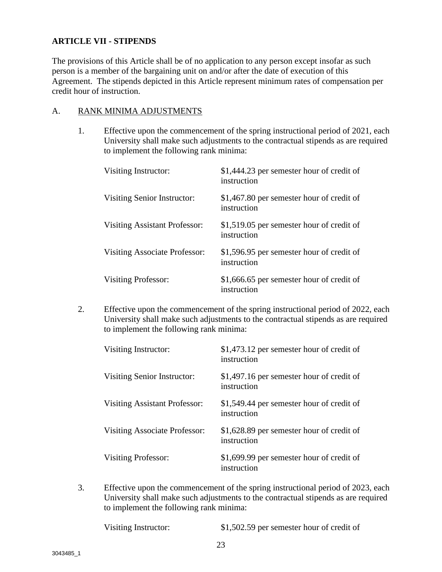#### **ARTICLE VII - STIPENDS**

The provisions of this Article shall be of no application to any person except insofar as such person is a member of the bargaining unit on and/or after the date of execution of this Agreement. The stipends depicted in this Article represent minimum rates of compensation per credit hour of instruction.

#### A. RANK MINIMA ADJUSTMENTS

1. Effective upon the commencement of the spring instructional period of 2021, each University shall make such adjustments to the contractual stipends as are required to implement the following rank minima:

| Visiting Instructor:                 | \$1,444.23 per semester hour of credit of<br>instruction |
|--------------------------------------|----------------------------------------------------------|
| Visiting Senior Instructor:          | \$1,467.80 per semester hour of credit of<br>instruction |
| <b>Visiting Assistant Professor:</b> | \$1,519.05 per semester hour of credit of<br>instruction |
| <b>Visiting Associate Professor:</b> | \$1,596.95 per semester hour of credit of<br>instruction |
| <b>Visiting Professor:</b>           | \$1,666.65 per semester hour of credit of<br>instruction |

2. Effective upon the commencement of the spring instructional period of 2022, each University shall make such adjustments to the contractual stipends as are required to implement the following rank minima:

| Visiting Instructor:          | \$1,473.12 per semester hour of credit of<br>instruction |
|-------------------------------|----------------------------------------------------------|
| Visiting Senior Instructor:   | \$1,497.16 per semester hour of credit of<br>instruction |
| Visiting Assistant Professor: | \$1,549.44 per semester hour of credit of<br>instruction |
| Visiting Associate Professor: | \$1,628.89 per semester hour of credit of<br>instruction |
| Visiting Professor:           | \$1,699.99 per semester hour of credit of<br>instruction |

3. Effective upon the commencement of the spring instructional period of 2023, each University shall make such adjustments to the contractual stipends as are required to implement the following rank minima:

Visiting Instructor: \$1,502.59 per semester hour of credit of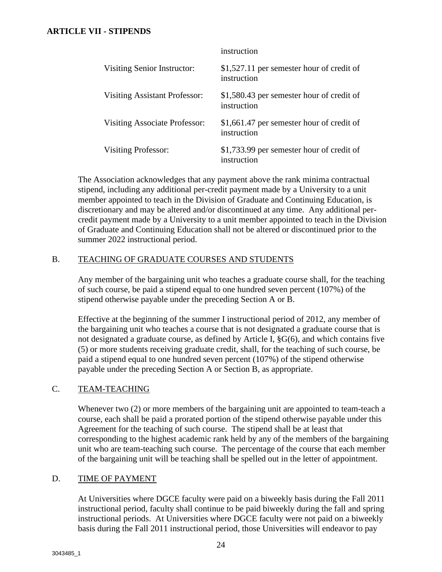#### **ARTICLE VII - STIPENDS**

|                                      | instruction                                               |
|--------------------------------------|-----------------------------------------------------------|
| Visiting Senior Instructor:          | $$1,527.11$ per semester hour of credit of<br>instruction |
| <b>Visiting Assistant Professor:</b> | \$1,580.43 per semester hour of credit of<br>instruction  |
| Visiting Associate Professor:        | \$1,661.47 per semester hour of credit of<br>instruction  |
| <b>Visiting Professor:</b>           | \$1,733.99 per semester hour of credit of<br>instruction  |

The Association acknowledges that any payment above the rank minima contractual stipend, including any additional per-credit payment made by a University to a unit member appointed to teach in the Division of Graduate and Continuing Education, is discretionary and may be altered and/or discontinued at any time. Any additional percredit payment made by a University to a unit member appointed to teach in the Division of Graduate and Continuing Education shall not be altered or discontinued prior to the summer 2022 instructional period.

#### B. TEACHING OF GRADUATE COURSES AND STUDENTS

Any member of the bargaining unit who teaches a graduate course shall, for the teaching of such course, be paid a stipend equal to one hundred seven percent (107%) of the stipend otherwise payable under the preceding Section A or B.

Effective at the beginning of the summer I instructional period of 2012, any member of the bargaining unit who teaches a course that is not designated a graduate course that is not designated a graduate course, as defined by Article I, §G(6), and which contains five (5) or more students receiving graduate credit, shall, for the teaching of such course, be paid a stipend equal to one hundred seven percent (107%) of the stipend otherwise payable under the preceding Section A or Section B, as appropriate.

#### C. TEAM-TEACHING

Whenever two (2) or more members of the bargaining unit are appointed to team-teach a course, each shall be paid a prorated portion of the stipend otherwise payable under this Agreement for the teaching of such course. The stipend shall be at least that corresponding to the highest academic rank held by any of the members of the bargaining unit who are team-teaching such course. The percentage of the course that each member of the bargaining unit will be teaching shall be spelled out in the letter of appointment.

#### D. TIME OF PAYMENT

At Universities where DGCE faculty were paid on a biweekly basis during the Fall 2011 instructional period, faculty shall continue to be paid biweekly during the fall and spring instructional periods. At Universities where DGCE faculty were not paid on a biweekly basis during the Fall 2011 instructional period, those Universities will endeavor to pay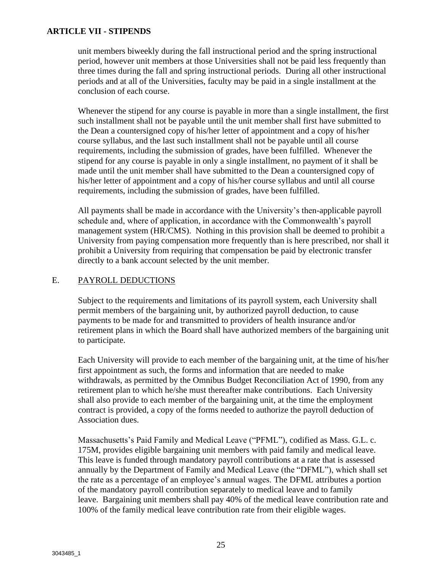#### **ARTICLE VII - STIPENDS**

unit members biweekly during the fall instructional period and the spring instructional period, however unit members at those Universities shall not be paid less frequently than three times during the fall and spring instructional periods. During all other instructional periods and at all of the Universities, faculty may be paid in a single installment at the conclusion of each course.

Whenever the stipend for any course is payable in more than a single installment, the first such installment shall not be payable until the unit member shall first have submitted to the Dean a countersigned copy of his/her letter of appointment and a copy of his/her course syllabus, and the last such installment shall not be payable until all course requirements, including the submission of grades, have been fulfilled. Whenever the stipend for any course is payable in only a single installment, no payment of it shall be made until the unit member shall have submitted to the Dean a countersigned copy of his/her letter of appointment and a copy of his/her course syllabus and until all course requirements, including the submission of grades, have been fulfilled.

All payments shall be made in accordance with the University's then-applicable payroll schedule and, where of application, in accordance with the Commonwealth's payroll management system (HR/CMS). Nothing in this provision shall be deemed to prohibit a University from paying compensation more frequently than is here prescribed, nor shall it prohibit a University from requiring that compensation be paid by electronic transfer directly to a bank account selected by the unit member.

#### E. PAYROLL DEDUCTIONS

Subject to the requirements and limitations of its payroll system, each University shall permit members of the bargaining unit, by authorized payroll deduction, to cause payments to be made for and transmitted to providers of health insurance and/or retirement plans in which the Board shall have authorized members of the bargaining unit to participate.

Each University will provide to each member of the bargaining unit, at the time of his/her first appointment as such, the forms and information that are needed to make withdrawals, as permitted by the Omnibus Budget Reconciliation Act of 1990, from any retirement plan to which he/she must thereafter make contributions. Each University shall also provide to each member of the bargaining unit, at the time the employment contract is provided, a copy of the forms needed to authorize the payroll deduction of Association dues.

Massachusetts's Paid Family and Medical Leave ("PFML"), codified as Mass. G.L. c. 175M, provides eligible bargaining unit members with paid family and medical leave. This leave is funded through mandatory payroll contributions at a rate that is assessed annually by the Department of Family and Medical Leave (the "DFML"), which shall set the rate as a percentage of an employee's annual wages. The DFML attributes a portion of the mandatory payroll contribution separately to medical leave and to family leave. Bargaining unit members shall pay 40% of the medical leave contribution rate and 100% of the family medical leave contribution rate from their eligible wages.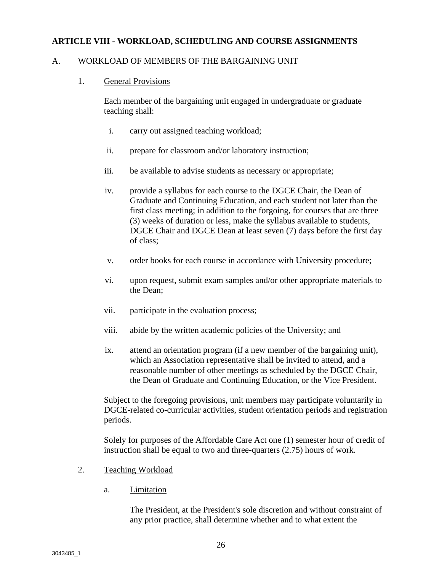#### A. WORKLOAD OF MEMBERS OF THE BARGAINING UNIT

#### 1. General Provisions

Each member of the bargaining unit engaged in undergraduate or graduate teaching shall:

- i. carry out assigned teaching workload;
- ii. prepare for classroom and/or laboratory instruction;
- iii. be available to advise students as necessary or appropriate;
- iv. provide a syllabus for each course to the DGCE Chair, the Dean of Graduate and Continuing Education, and each student not later than the first class meeting; in addition to the forgoing, for courses that are three (3) weeks of duration or less, make the syllabus available to students, DGCE Chair and DGCE Dean at least seven (7) days before the first day of class;
- v. order books for each course in accordance with University procedure;
- vi. upon request, submit exam samples and/or other appropriate materials to the Dean;
- vii. participate in the evaluation process;
- viii. abide by the written academic policies of the University; and
- ix. attend an orientation program (if a new member of the bargaining unit), which an Association representative shall be invited to attend, and a reasonable number of other meetings as scheduled by the DGCE Chair, the Dean of Graduate and Continuing Education, or the Vice President.

Subject to the foregoing provisions, unit members may participate voluntarily in DGCE-related co-curricular activities, student orientation periods and registration periods.

Solely for purposes of the Affordable Care Act one (1) semester hour of credit of instruction shall be equal to two and three-quarters (2.75) hours of work.

- 2. Teaching Workload
	- a. Limitation

The President, at the President's sole discretion and without constraint of any prior practice, shall determine whether and to what extent the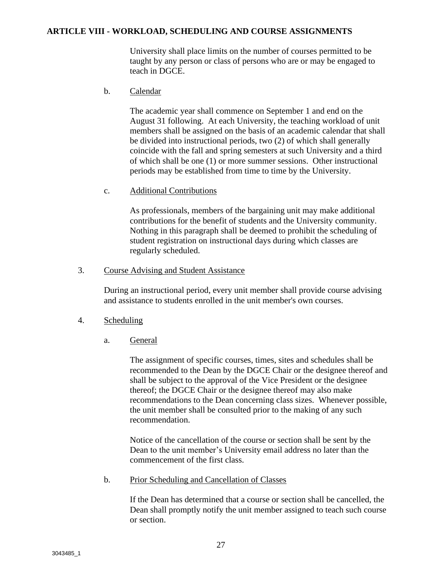University shall place limits on the number of courses permitted to be taught by any person or class of persons who are or may be engaged to teach in DGCE.

#### b. Calendar

The academic year shall commence on September 1 and end on the August 31 following. At each University, the teaching workload of unit members shall be assigned on the basis of an academic calendar that shall be divided into instructional periods, two (2) of which shall generally coincide with the fall and spring semesters at such University and a third of which shall be one (1) or more summer sessions. Other instructional periods may be established from time to time by the University.

#### c. Additional Contributions

As professionals, members of the bargaining unit may make additional contributions for the benefit of students and the University community. Nothing in this paragraph shall be deemed to prohibit the scheduling of student registration on instructional days during which classes are regularly scheduled.

#### 3. Course Advising and Student Assistance

During an instructional period, every unit member shall provide course advising and assistance to students enrolled in the unit member's own courses.

- 4. Scheduling
	- a. General

The assignment of specific courses, times, sites and schedules shall be recommended to the Dean by the DGCE Chair or the designee thereof and shall be subject to the approval of the Vice President or the designee thereof; the DGCE Chair or the designee thereof may also make recommendations to the Dean concerning class sizes. Whenever possible, the unit member shall be consulted prior to the making of any such recommendation.

Notice of the cancellation of the course or section shall be sent by the Dean to the unit member's University email address no later than the commencement of the first class.

b. Prior Scheduling and Cancellation of Classes

If the Dean has determined that a course or section shall be cancelled, the Dean shall promptly notify the unit member assigned to teach such course or section.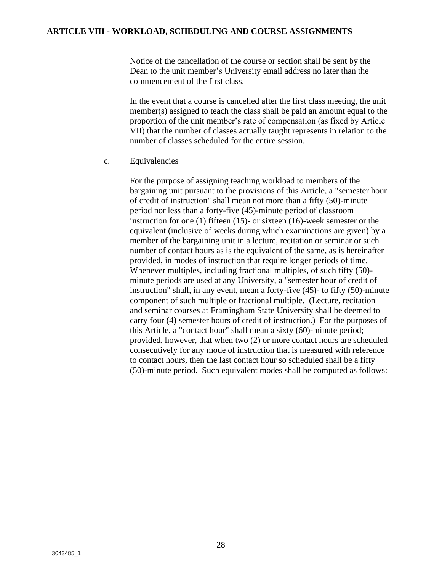Notice of the cancellation of the course or section shall be sent by the Dean to the unit member's University email address no later than the commencement of the first class.

In the event that a course is cancelled after the first class meeting, the unit member(s) assigned to teach the class shall be paid an amount equal to the proportion of the unit member's rate of compensation (as fixed by Article VII) that the number of classes actually taught represents in relation to the number of classes scheduled for the entire session.

#### c. Equivalencies

For the purpose of assigning teaching workload to members of the bargaining unit pursuant to the provisions of this Article, a "semester hour of credit of instruction" shall mean not more than a fifty (50)-minute period nor less than a forty-five (45)-minute period of classroom instruction for one (1) fifteen (15)- or sixteen (16)-week semester or the equivalent (inclusive of weeks during which examinations are given) by a member of the bargaining unit in a lecture, recitation or seminar or such number of contact hours as is the equivalent of the same, as is hereinafter provided, in modes of instruction that require longer periods of time. Whenever multiples, including fractional multiples, of such fifty (50) minute periods are used at any University, a "semester hour of credit of instruction" shall, in any event, mean a forty-five (45)- to fifty (50)-minute component of such multiple or fractional multiple. (Lecture, recitation and seminar courses at Framingham State University shall be deemed to carry four (4) semester hours of credit of instruction.) For the purposes of this Article, a "contact hour" shall mean a sixty (60)-minute period; provided, however, that when two (2) or more contact hours are scheduled consecutively for any mode of instruction that is measured with reference to contact hours, then the last contact hour so scheduled shall be a fifty (50)-minute period. Such equivalent modes shall be computed as follows: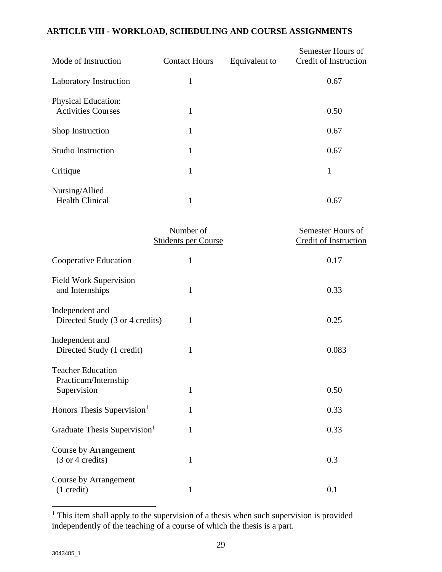| Mode of Instruction                                     | <b>Contact Hours</b> | Equivalent to | Semester Hours of<br>Credit of Instruction |
|---------------------------------------------------------|----------------------|---------------|--------------------------------------------|
| Laboratory Instruction                                  | 1                    |               | 0.67                                       |
| <b>Physical Education:</b><br><b>Activities Courses</b> | $\mathbf{1}$         |               | 0.50                                       |
| Shop Instruction                                        | 1                    |               | 0.67                                       |
| <b>Studio Instruction</b>                               | 1                    |               | 0.67                                       |
| Critique                                                | 1                    |               | 1                                          |
| Nursing/Allied<br><b>Health Clinical</b>                | 1                    |               | 0.67                                       |

|                                                                 | Number of<br><b>Students per Course</b> | Semester Hours of<br><b>Credit of Instruction</b> |
|-----------------------------------------------------------------|-----------------------------------------|---------------------------------------------------|
| Cooperative Education                                           | 1                                       | 0.17                                              |
| <b>Field Work Supervision</b><br>and Internships                | 1                                       | 0.33                                              |
| Independent and<br>Directed Study (3 or 4 credits)              | 1                                       | 0.25                                              |
| Independent and<br>Directed Study (1 credit)                    | $\mathbf{1}$                            | 0.083                                             |
| <b>Teacher Education</b><br>Practicum/Internship<br>Supervision | 1                                       | 0.50                                              |
| Honors Thesis Supervision <sup>1</sup>                          | 1                                       | 0.33                                              |
| Graduate Thesis Supervision <sup>1</sup>                        | 1                                       | 0.33                                              |
| Course by Arrangement<br>(3 or 4 credits)                       | $\mathbf{1}$                            | 0.3                                               |
| Course by Arrangement<br>$(1 \text{ credit})$                   | 1                                       | 0.1                                               |

<sup>&</sup>lt;sup>1</sup> This item shall apply to the supervision of a thesis when such supervision is provided independently of the teaching of a course of which the thesis is a part.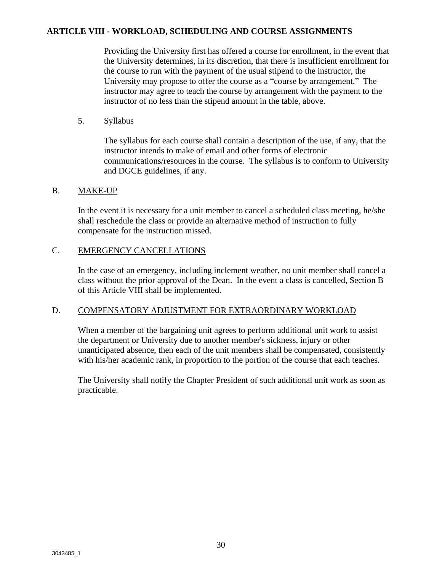Providing the University first has offered a course for enrollment, in the event that the University determines, in its discretion, that there is insufficient enrollment for the course to run with the payment of the usual stipend to the instructor, the University may propose to offer the course as a "course by arrangement." The instructor may agree to teach the course by arrangement with the payment to the instructor of no less than the stipend amount in the table, above.

#### 5. Syllabus

The syllabus for each course shall contain a description of the use, if any, that the instructor intends to make of email and other forms of electronic communications/resources in the course. The syllabus is to conform to University and DGCE guidelines, if any.

#### B. MAKE-UP

In the event it is necessary for a unit member to cancel a scheduled class meeting, he/she shall reschedule the class or provide an alternative method of instruction to fully compensate for the instruction missed.

#### C. EMERGENCY CANCELLATIONS

In the case of an emergency, including inclement weather, no unit member shall cancel a class without the prior approval of the Dean. In the event a class is cancelled, Section B of this Article VIII shall be implemented.

#### D. COMPENSATORY ADJUSTMENT FOR EXTRAORDINARY WORKLOAD

When a member of the bargaining unit agrees to perform additional unit work to assist the department or University due to another member's sickness, injury or other unanticipated absence, then each of the unit members shall be compensated, consistently with his/her academic rank, in proportion to the portion of the course that each teaches.

The University shall notify the Chapter President of such additional unit work as soon as practicable.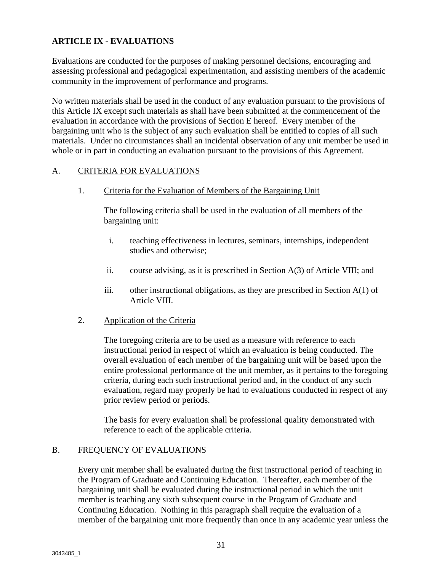Evaluations are conducted for the purposes of making personnel decisions, encouraging and assessing professional and pedagogical experimentation, and assisting members of the academic community in the improvement of performance and programs.

No written materials shall be used in the conduct of any evaluation pursuant to the provisions of this Article IX except such materials as shall have been submitted at the commencement of the evaluation in accordance with the provisions of Section E hereof. Every member of the bargaining unit who is the subject of any such evaluation shall be entitled to copies of all such materials. Under no circumstances shall an incidental observation of any unit member be used in whole or in part in conducting an evaluation pursuant to the provisions of this Agreement.

#### A. CRITERIA FOR EVALUATIONS

1. Criteria for the Evaluation of Members of the Bargaining Unit

The following criteria shall be used in the evaluation of all members of the bargaining unit:

- i. teaching effectiveness in lectures, seminars, internships, independent studies and otherwise;
- ii. course advising, as it is prescribed in Section A(3) of Article VIII; and
- iii. other instructional obligations, as they are prescribed in Section  $A(1)$  of Article VIII.
- 2. Application of the Criteria

The foregoing criteria are to be used as a measure with reference to each instructional period in respect of which an evaluation is being conducted. The overall evaluation of each member of the bargaining unit will be based upon the entire professional performance of the unit member, as it pertains to the foregoing criteria, during each such instructional period and, in the conduct of any such evaluation, regard may properly be had to evaluations conducted in respect of any prior review period or periods.

The basis for every evaluation shall be professional quality demonstrated with reference to each of the applicable criteria.

#### B. FREQUENCY OF EVALUATIONS

Every unit member shall be evaluated during the first instructional period of teaching in the Program of Graduate and Continuing Education. Thereafter, each member of the bargaining unit shall be evaluated during the instructional period in which the unit member is teaching any sixth subsequent course in the Program of Graduate and Continuing Education. Nothing in this paragraph shall require the evaluation of a member of the bargaining unit more frequently than once in any academic year unless the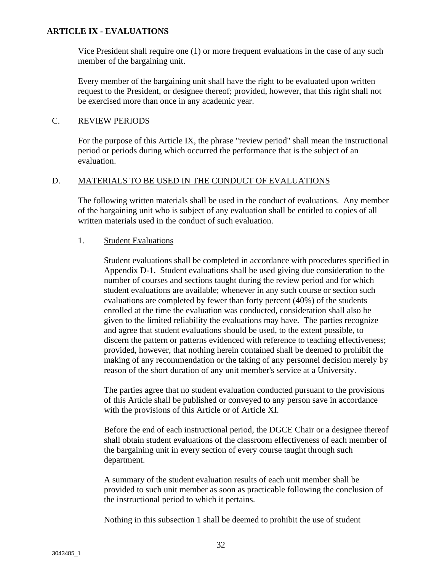Vice President shall require one (1) or more frequent evaluations in the case of any such member of the bargaining unit.

Every member of the bargaining unit shall have the right to be evaluated upon written request to the President, or designee thereof; provided, however, that this right shall not be exercised more than once in any academic year.

#### C. REVIEW PERIODS

For the purpose of this Article IX, the phrase "review period" shall mean the instructional period or periods during which occurred the performance that is the subject of an evaluation.

#### D. MATERIALS TO BE USED IN THE CONDUCT OF EVALUATIONS

The following written materials shall be used in the conduct of evaluations. Any member of the bargaining unit who is subject of any evaluation shall be entitled to copies of all written materials used in the conduct of such evaluation.

#### 1. Student Evaluations

Student evaluations shall be completed in accordance with procedures specified in Appendix D-1. Student evaluations shall be used giving due consideration to the number of courses and sections taught during the review period and for which student evaluations are available; whenever in any such course or section such evaluations are completed by fewer than forty percent (40%) of the students enrolled at the time the evaluation was conducted, consideration shall also be given to the limited reliability the evaluations may have. The parties recognize and agree that student evaluations should be used, to the extent possible, to discern the pattern or patterns evidenced with reference to teaching effectiveness; provided, however, that nothing herein contained shall be deemed to prohibit the making of any recommendation or the taking of any personnel decision merely by reason of the short duration of any unit member's service at a University.

The parties agree that no student evaluation conducted pursuant to the provisions of this Article shall be published or conveyed to any person save in accordance with the provisions of this Article or of Article XI.

Before the end of each instructional period, the DGCE Chair or a designee thereof shall obtain student evaluations of the classroom effectiveness of each member of the bargaining unit in every section of every course taught through such department.

A summary of the student evaluation results of each unit member shall be provided to such unit member as soon as practicable following the conclusion of the instructional period to which it pertains.

Nothing in this subsection 1 shall be deemed to prohibit the use of student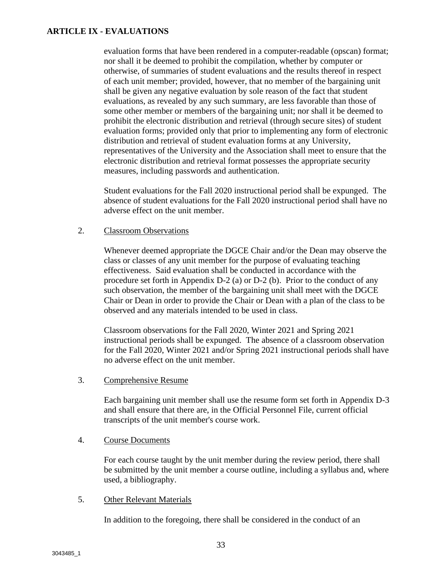evaluation forms that have been rendered in a computer-readable (opscan) format; nor shall it be deemed to prohibit the compilation, whether by computer or otherwise, of summaries of student evaluations and the results thereof in respect of each unit member; provided, however, that no member of the bargaining unit shall be given any negative evaluation by sole reason of the fact that student evaluations, as revealed by any such summary, are less favorable than those of some other member or members of the bargaining unit; nor shall it be deemed to prohibit the electronic distribution and retrieval (through secure sites) of student evaluation forms; provided only that prior to implementing any form of electronic distribution and retrieval of student evaluation forms at any University, representatives of the University and the Association shall meet to ensure that the electronic distribution and retrieval format possesses the appropriate security measures, including passwords and authentication.

Student evaluations for the Fall 2020 instructional period shall be expunged. The absence of student evaluations for the Fall 2020 instructional period shall have no adverse effect on the unit member.

#### 2. Classroom Observations

Whenever deemed appropriate the DGCE Chair and/or the Dean may observe the class or classes of any unit member for the purpose of evaluating teaching effectiveness. Said evaluation shall be conducted in accordance with the procedure set forth in Appendix D-2 (a) or D-2 (b). Prior to the conduct of any such observation, the member of the bargaining unit shall meet with the DGCE Chair or Dean in order to provide the Chair or Dean with a plan of the class to be observed and any materials intended to be used in class.

Classroom observations for the Fall 2020, Winter 2021 and Spring 2021 instructional periods shall be expunged. The absence of a classroom observation for the Fall 2020, Winter 2021 and/or Spring 2021 instructional periods shall have no adverse effect on the unit member.

3. Comprehensive Resume

Each bargaining unit member shall use the resume form set forth in Appendix D-3 and shall ensure that there are, in the Official Personnel File, current official transcripts of the unit member's course work.

4. Course Documents

For each course taught by the unit member during the review period, there shall be submitted by the unit member a course outline, including a syllabus and, where used, a bibliography.

#### 5. Other Relevant Materials

In addition to the foregoing, there shall be considered in the conduct of an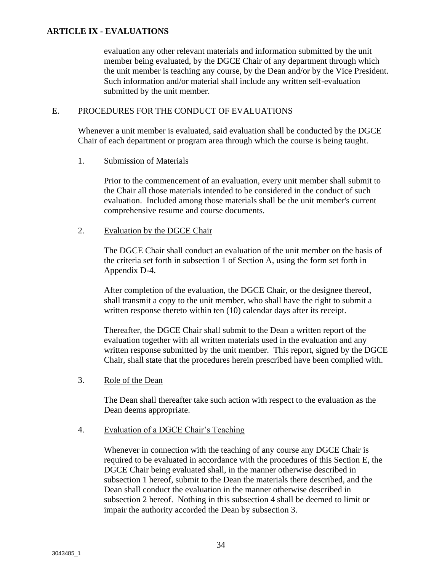evaluation any other relevant materials and information submitted by the unit member being evaluated, by the DGCE Chair of any department through which the unit member is teaching any course, by the Dean and/or by the Vice President. Such information and/or material shall include any written self-evaluation submitted by the unit member.

#### E. PROCEDURES FOR THE CONDUCT OF EVALUATIONS

Whenever a unit member is evaluated, said evaluation shall be conducted by the DGCE Chair of each department or program area through which the course is being taught.

#### 1. Submission of Materials

Prior to the commencement of an evaluation, every unit member shall submit to the Chair all those materials intended to be considered in the conduct of such evaluation. Included among those materials shall be the unit member's current comprehensive resume and course documents.

#### 2. Evaluation by the DGCE Chair

The DGCE Chair shall conduct an evaluation of the unit member on the basis of the criteria set forth in subsection 1 of Section A, using the form set forth in Appendix D-4.

After completion of the evaluation, the DGCE Chair, or the designee thereof, shall transmit a copy to the unit member, who shall have the right to submit a written response thereto within ten (10) calendar days after its receipt.

Thereafter, the DGCE Chair shall submit to the Dean a written report of the evaluation together with all written materials used in the evaluation and any written response submitted by the unit member. This report, signed by the DGCE Chair, shall state that the procedures herein prescribed have been complied with.

#### 3. Role of the Dean

The Dean shall thereafter take such action with respect to the evaluation as the Dean deems appropriate.

#### 4. Evaluation of a DGCE Chair's Teaching

Whenever in connection with the teaching of any course any DGCE Chair is required to be evaluated in accordance with the procedures of this Section E, the DGCE Chair being evaluated shall, in the manner otherwise described in subsection 1 hereof, submit to the Dean the materials there described, and the Dean shall conduct the evaluation in the manner otherwise described in subsection 2 hereof. Nothing in this subsection 4 shall be deemed to limit or impair the authority accorded the Dean by subsection 3.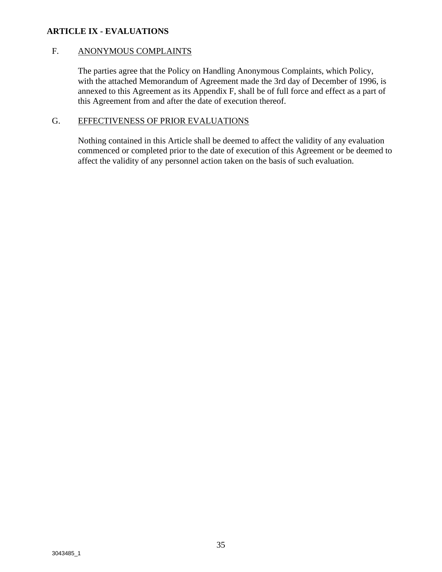#### F. ANONYMOUS COMPLAINTS

The parties agree that the Policy on Handling Anonymous Complaints, which Policy, with the attached Memorandum of Agreement made the 3rd day of December of 1996, is annexed to this Agreement as its Appendix F, shall be of full force and effect as a part of this Agreement from and after the date of execution thereof.

### G. EFFECTIVENESS OF PRIOR EVALUATIONS

Nothing contained in this Article shall be deemed to affect the validity of any evaluation commenced or completed prior to the date of execution of this Agreement or be deemed to affect the validity of any personnel action taken on the basis of such evaluation.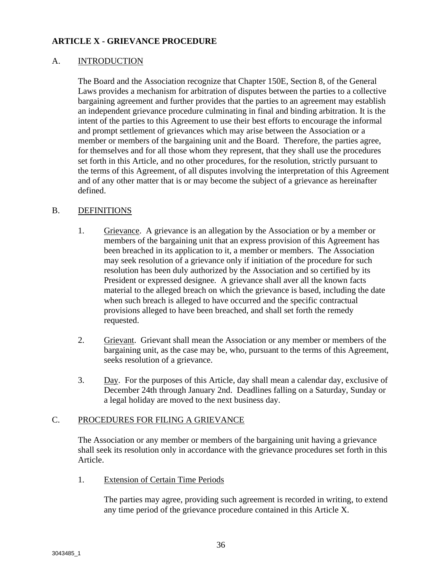#### A. INTRODUCTION

The Board and the Association recognize that Chapter 150E, Section 8, of the General Laws provides a mechanism for arbitration of disputes between the parties to a collective bargaining agreement and further provides that the parties to an agreement may establish an independent grievance procedure culminating in final and binding arbitration. It is the intent of the parties to this Agreement to use their best efforts to encourage the informal and prompt settlement of grievances which may arise between the Association or a member or members of the bargaining unit and the Board. Therefore, the parties agree, for themselves and for all those whom they represent, that they shall use the procedures set forth in this Article, and no other procedures, for the resolution, strictly pursuant to the terms of this Agreement, of all disputes involving the interpretation of this Agreement and of any other matter that is or may become the subject of a grievance as hereinafter defined.

#### B. DEFINITIONS

- 1. Grievance. A grievance is an allegation by the Association or by a member or members of the bargaining unit that an express provision of this Agreement has been breached in its application to it, a member or members. The Association may seek resolution of a grievance only if initiation of the procedure for such resolution has been duly authorized by the Association and so certified by its President or expressed designee. A grievance shall aver all the known facts material to the alleged breach on which the grievance is based, including the date when such breach is alleged to have occurred and the specific contractual provisions alleged to have been breached, and shall set forth the remedy requested.
- 2. Grievant. Grievant shall mean the Association or any member or members of the bargaining unit, as the case may be, who, pursuant to the terms of this Agreement, seeks resolution of a grievance.
- 3. Day. For the purposes of this Article, day shall mean a calendar day, exclusive of December 24th through January 2nd. Deadlines falling on a Saturday, Sunday or a legal holiday are moved to the next business day.

#### C. PROCEDURES FOR FILING A GRIEVANCE

The Association or any member or members of the bargaining unit having a grievance shall seek its resolution only in accordance with the grievance procedures set forth in this Article.

1. Extension of Certain Time Periods

The parties may agree, providing such agreement is recorded in writing, to extend any time period of the grievance procedure contained in this Article X.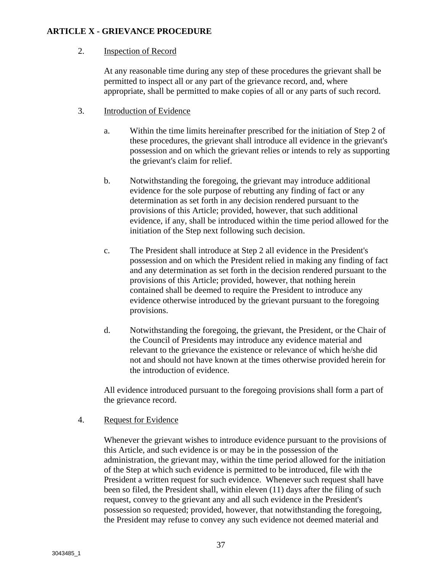#### 2. Inspection of Record

At any reasonable time during any step of these procedures the grievant shall be permitted to inspect all or any part of the grievance record, and, where appropriate, shall be permitted to make copies of all or any parts of such record.

- 3. Introduction of Evidence
	- a. Within the time limits hereinafter prescribed for the initiation of Step 2 of these procedures, the grievant shall introduce all evidence in the grievant's possession and on which the grievant relies or intends to rely as supporting the grievant's claim for relief.
	- b. Notwithstanding the foregoing, the grievant may introduce additional evidence for the sole purpose of rebutting any finding of fact or any determination as set forth in any decision rendered pursuant to the provisions of this Article; provided, however, that such additional evidence, if any, shall be introduced within the time period allowed for the initiation of the Step next following such decision.
	- c. The President shall introduce at Step 2 all evidence in the President's possession and on which the President relied in making any finding of fact and any determination as set forth in the decision rendered pursuant to the provisions of this Article; provided, however, that nothing herein contained shall be deemed to require the President to introduce any evidence otherwise introduced by the grievant pursuant to the foregoing provisions.
	- d. Notwithstanding the foregoing, the grievant, the President, or the Chair of the Council of Presidents may introduce any evidence material and relevant to the grievance the existence or relevance of which he/she did not and should not have known at the times otherwise provided herein for the introduction of evidence.

All evidence introduced pursuant to the foregoing provisions shall form a part of the grievance record.

#### 4. Request for Evidence

Whenever the grievant wishes to introduce evidence pursuant to the provisions of this Article, and such evidence is or may be in the possession of the administration, the grievant may, within the time period allowed for the initiation of the Step at which such evidence is permitted to be introduced, file with the President a written request for such evidence. Whenever such request shall have been so filed, the President shall, within eleven (11) days after the filing of such request, convey to the grievant any and all such evidence in the President's possession so requested; provided, however, that notwithstanding the foregoing, the President may refuse to convey any such evidence not deemed material and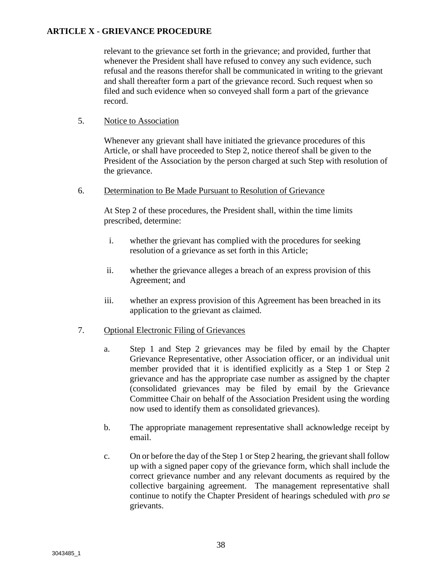relevant to the grievance set forth in the grievance; and provided, further that whenever the President shall have refused to convey any such evidence, such refusal and the reasons therefor shall be communicated in writing to the grievant and shall thereafter form a part of the grievance record. Such request when so filed and such evidence when so conveyed shall form a part of the grievance record.

#### 5. Notice to Association

Whenever any grievant shall have initiated the grievance procedures of this Article, or shall have proceeded to Step 2, notice thereof shall be given to the President of the Association by the person charged at such Step with resolution of the grievance.

#### 6. Determination to Be Made Pursuant to Resolution of Grievance

At Step 2 of these procedures, the President shall, within the time limits prescribed, determine:

- i. whether the grievant has complied with the procedures for seeking resolution of a grievance as set forth in this Article;
- ii. whether the grievance alleges a breach of an express provision of this Agreement; and
- iii. whether an express provision of this Agreement has been breached in its application to the grievant as claimed.

#### 7. Optional Electronic Filing of Grievances

- a. Step 1 and Step 2 grievances may be filed by email by the Chapter Grievance Representative, other Association officer, or an individual unit member provided that it is identified explicitly as a Step 1 or Step 2 grievance and has the appropriate case number as assigned by the chapter (consolidated grievances may be filed by email by the Grievance Committee Chair on behalf of the Association President using the wording now used to identify them as consolidated grievances).
- b. The appropriate management representative shall acknowledge receipt by email.
- c. On or before the day of the Step 1 or Step 2 hearing, the grievant shall follow up with a signed paper copy of the grievance form, which shall include the correct grievance number and any relevant documents as required by the collective bargaining agreement. The management representative shall continue to notify the Chapter President of hearings scheduled with *pro se* grievants.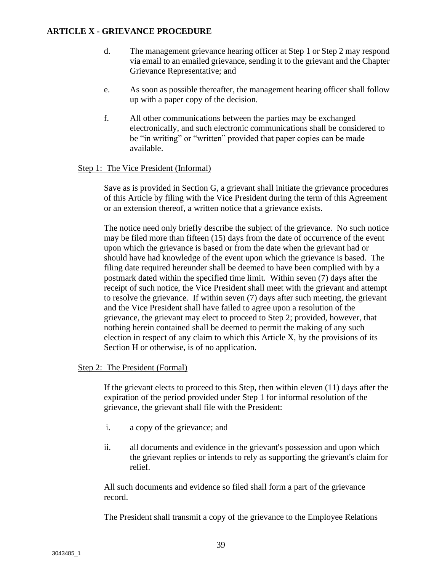- d. The management grievance hearing officer at Step 1 or Step 2 may respond via email to an emailed grievance, sending it to the grievant and the Chapter Grievance Representative; and
- e. As soon as possible thereafter, the management hearing officer shall follow up with a paper copy of the decision.
- f. All other communications between the parties may be exchanged electronically, and such electronic communications shall be considered to be "in writing" or "written" provided that paper copies can be made available.

#### Step 1: The Vice President (Informal)

Save as is provided in Section G, a grievant shall initiate the grievance procedures of this Article by filing with the Vice President during the term of this Agreement or an extension thereof, a written notice that a grievance exists.

The notice need only briefly describe the subject of the grievance. No such notice may be filed more than fifteen (15) days from the date of occurrence of the event upon which the grievance is based or from the date when the grievant had or should have had knowledge of the event upon which the grievance is based. The filing date required hereunder shall be deemed to have been complied with by a postmark dated within the specified time limit. Within seven (7) days after the receipt of such notice, the Vice President shall meet with the grievant and attempt to resolve the grievance. If within seven (7) days after such meeting, the grievant and the Vice President shall have failed to agree upon a resolution of the grievance, the grievant may elect to proceed to Step 2; provided, however, that nothing herein contained shall be deemed to permit the making of any such election in respect of any claim to which this Article X, by the provisions of its Section H or otherwise, is of no application.

#### Step 2: The President (Formal)

If the grievant elects to proceed to this Step, then within eleven (11) days after the expiration of the period provided under Step 1 for informal resolution of the grievance, the grievant shall file with the President:

- i. a copy of the grievance; and
- ii. all documents and evidence in the grievant's possession and upon which the grievant replies or intends to rely as supporting the grievant's claim for relief.

All such documents and evidence so filed shall form a part of the grievance record.

The President shall transmit a copy of the grievance to the Employee Relations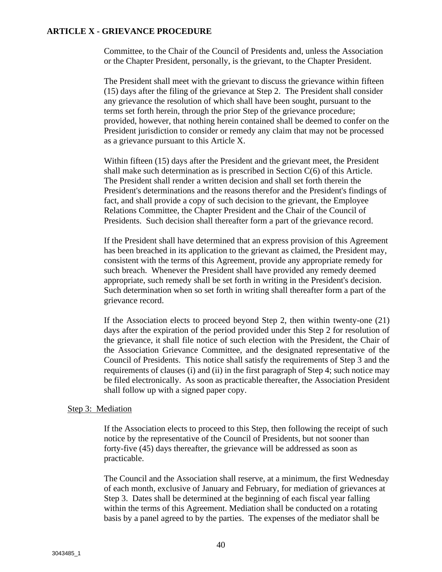Committee, to the Chair of the Council of Presidents and, unless the Association or the Chapter President, personally, is the grievant, to the Chapter President.

The President shall meet with the grievant to discuss the grievance within fifteen (15) days after the filing of the grievance at Step 2. The President shall consider any grievance the resolution of which shall have been sought, pursuant to the terms set forth herein, through the prior Step of the grievance procedure; provided, however, that nothing herein contained shall be deemed to confer on the President jurisdiction to consider or remedy any claim that may not be processed as a grievance pursuant to this Article X.

Within fifteen (15) days after the President and the grievant meet, the President shall make such determination as is prescribed in Section C(6) of this Article. The President shall render a written decision and shall set forth therein the President's determinations and the reasons therefor and the President's findings of fact, and shall provide a copy of such decision to the grievant, the Employee Relations Committee, the Chapter President and the Chair of the Council of Presidents. Such decision shall thereafter form a part of the grievance record.

If the President shall have determined that an express provision of this Agreement has been breached in its application to the grievant as claimed, the President may, consistent with the terms of this Agreement, provide any appropriate remedy for such breach. Whenever the President shall have provided any remedy deemed appropriate, such remedy shall be set forth in writing in the President's decision. Such determination when so set forth in writing shall thereafter form a part of the grievance record.

If the Association elects to proceed beyond Step 2, then within twenty-one (21) days after the expiration of the period provided under this Step 2 for resolution of the grievance, it shall file notice of such election with the President, the Chair of the Association Grievance Committee, and the designated representative of the Council of Presidents. This notice shall satisfy the requirements of Step 3 and the requirements of clauses (i) and (ii) in the first paragraph of Step 4; such notice may be filed electronically. As soon as practicable thereafter, the Association President shall follow up with a signed paper copy.

#### Step 3: Mediation

If the Association elects to proceed to this Step, then following the receipt of such notice by the representative of the Council of Presidents, but not sooner than forty-five (45) days thereafter, the grievance will be addressed as soon as practicable.

The Council and the Association shall reserve, at a minimum, the first Wednesday of each month, exclusive of January and February, for mediation of grievances at Step 3. Dates shall be determined at the beginning of each fiscal year falling within the terms of this Agreement. Mediation shall be conducted on a rotating basis by a panel agreed to by the parties. The expenses of the mediator shall be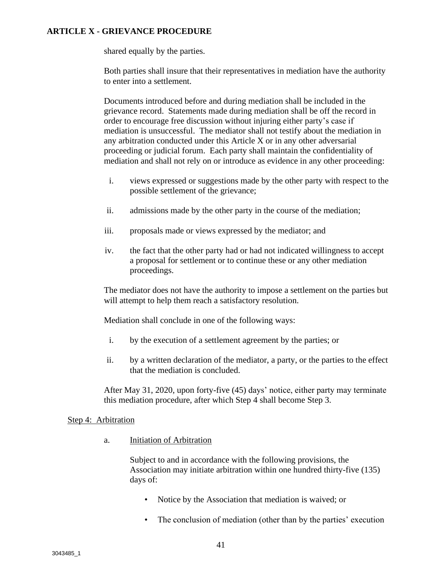shared equally by the parties.

Both parties shall insure that their representatives in mediation have the authority to enter into a settlement.

Documents introduced before and during mediation shall be included in the grievance record. Statements made during mediation shall be off the record in order to encourage free discussion without injuring either party's case if mediation is unsuccessful. The mediator shall not testify about the mediation in any arbitration conducted under this Article X or in any other adversarial proceeding or judicial forum. Each party shall maintain the confidentiality of mediation and shall not rely on or introduce as evidence in any other proceeding:

- i. views expressed or suggestions made by the other party with respect to the possible settlement of the grievance;
- ii. admissions made by the other party in the course of the mediation;
- iii. proposals made or views expressed by the mediator; and
- iv. the fact that the other party had or had not indicated willingness to accept a proposal for settlement or to continue these or any other mediation proceedings.

The mediator does not have the authority to impose a settlement on the parties but will attempt to help them reach a satisfactory resolution.

Mediation shall conclude in one of the following ways:

- i. by the execution of a settlement agreement by the parties; or
- ii. by a written declaration of the mediator, a party, or the parties to the effect that the mediation is concluded.

After May 31, 2020, upon forty-five (45) days' notice, either party may terminate this mediation procedure, after which Step 4 shall become Step 3.

#### Step 4: Arbitration

a. Initiation of Arbitration

Subject to and in accordance with the following provisions, the Association may initiate arbitration within one hundred thirty-five (135) days of:

- Notice by the Association that mediation is waived; or
- The conclusion of mediation (other than by the parties' execution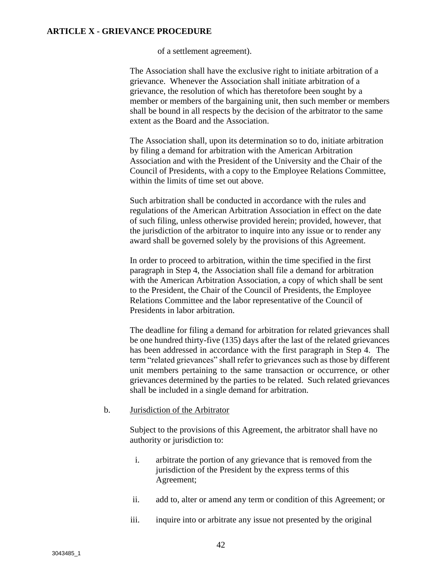of a settlement agreement).

The Association shall have the exclusive right to initiate arbitration of a grievance. Whenever the Association shall initiate arbitration of a grievance, the resolution of which has theretofore been sought by a member or members of the bargaining unit, then such member or members shall be bound in all respects by the decision of the arbitrator to the same extent as the Board and the Association.

The Association shall, upon its determination so to do, initiate arbitration by filing a demand for arbitration with the American Arbitration Association and with the President of the University and the Chair of the Council of Presidents, with a copy to the Employee Relations Committee, within the limits of time set out above.

Such arbitration shall be conducted in accordance with the rules and regulations of the American Arbitration Association in effect on the date of such filing, unless otherwise provided herein; provided, however, that the jurisdiction of the arbitrator to inquire into any issue or to render any award shall be governed solely by the provisions of this Agreement.

In order to proceed to arbitration, within the time specified in the first paragraph in Step 4, the Association shall file a demand for arbitration with the American Arbitration Association, a copy of which shall be sent to the President, the Chair of the Council of Presidents, the Employee Relations Committee and the labor representative of the Council of Presidents in labor arbitration.

The deadline for filing a demand for arbitration for related grievances shall be one hundred thirty-five (135) days after the last of the related grievances has been addressed in accordance with the first paragraph in Step 4. The term "related grievances" shall refer to grievances such as those by different unit members pertaining to the same transaction or occurrence, or other grievances determined by the parties to be related. Such related grievances shall be included in a single demand for arbitration.

#### b. Jurisdiction of the Arbitrator

Subject to the provisions of this Agreement, the arbitrator shall have no authority or jurisdiction to:

- i. arbitrate the portion of any grievance that is removed from the jurisdiction of the President by the express terms of this Agreement;
- ii. add to, alter or amend any term or condition of this Agreement; or
- iii. inquire into or arbitrate any issue not presented by the original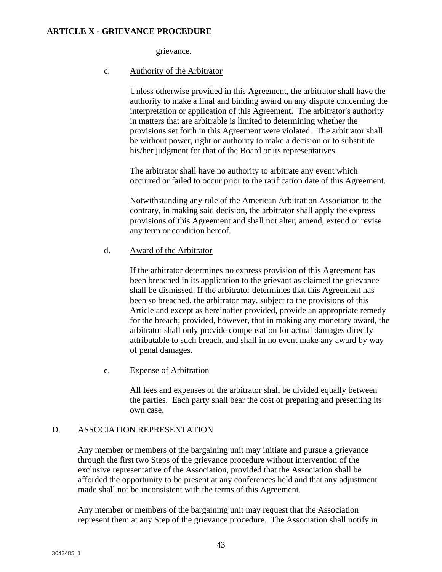grievance.

#### c. Authority of the Arbitrator

Unless otherwise provided in this Agreement, the arbitrator shall have the authority to make a final and binding award on any dispute concerning the interpretation or application of this Agreement. The arbitrator's authority in matters that are arbitrable is limited to determining whether the provisions set forth in this Agreement were violated. The arbitrator shall be without power, right or authority to make a decision or to substitute his/her judgment for that of the Board or its representatives.

The arbitrator shall have no authority to arbitrate any event which occurred or failed to occur prior to the ratification date of this Agreement.

Notwithstanding any rule of the American Arbitration Association to the contrary, in making said decision, the arbitrator shall apply the express provisions of this Agreement and shall not alter, amend, extend or revise any term or condition hereof.

#### d. Award of the Arbitrator

If the arbitrator determines no express provision of this Agreement has been breached in its application to the grievant as claimed the grievance shall be dismissed. If the arbitrator determines that this Agreement has been so breached, the arbitrator may, subject to the provisions of this Article and except as hereinafter provided, provide an appropriate remedy for the breach; provided, however, that in making any monetary award, the arbitrator shall only provide compensation for actual damages directly attributable to such breach, and shall in no event make any award by way of penal damages.

#### e. Expense of Arbitration

All fees and expenses of the arbitrator shall be divided equally between the parties. Each party shall bear the cost of preparing and presenting its own case.

#### D. ASSOCIATION REPRESENTATION

Any member or members of the bargaining unit may initiate and pursue a grievance through the first two Steps of the grievance procedure without intervention of the exclusive representative of the Association, provided that the Association shall be afforded the opportunity to be present at any conferences held and that any adjustment made shall not be inconsistent with the terms of this Agreement.

Any member or members of the bargaining unit may request that the Association represent them at any Step of the grievance procedure. The Association shall notify in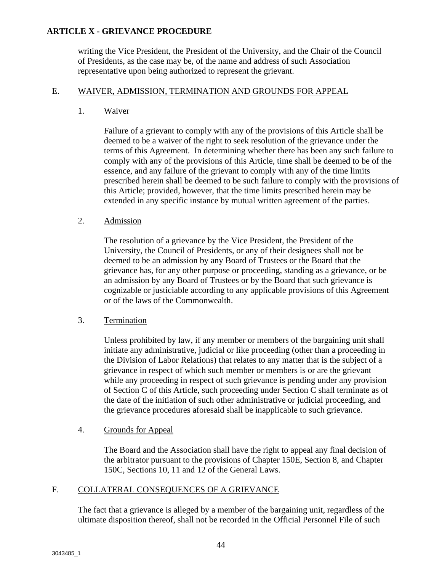writing the Vice President, the President of the University, and the Chair of the Council of Presidents, as the case may be, of the name and address of such Association representative upon being authorized to represent the grievant.

#### E. WAIVER, ADMISSION, TERMINATION AND GROUNDS FOR APPEAL

1. Waiver

Failure of a grievant to comply with any of the provisions of this Article shall be deemed to be a waiver of the right to seek resolution of the grievance under the terms of this Agreement. In determining whether there has been any such failure to comply with any of the provisions of this Article, time shall be deemed to be of the essence, and any failure of the grievant to comply with any of the time limits prescribed herein shall be deemed to be such failure to comply with the provisions of this Article; provided, however, that the time limits prescribed herein may be extended in any specific instance by mutual written agreement of the parties.

#### 2. Admission

The resolution of a grievance by the Vice President, the President of the University, the Council of Presidents, or any of their designees shall not be deemed to be an admission by any Board of Trustees or the Board that the grievance has, for any other purpose or proceeding, standing as a grievance, or be an admission by any Board of Trustees or by the Board that such grievance is cognizable or justiciable according to any applicable provisions of this Agreement or of the laws of the Commonwealth.

#### 3. Termination

Unless prohibited by law, if any member or members of the bargaining unit shall initiate any administrative, judicial or like proceeding (other than a proceeding in the Division of Labor Relations) that relates to any matter that is the subject of a grievance in respect of which such member or members is or are the grievant while any proceeding in respect of such grievance is pending under any provision of Section C of this Article, such proceeding under Section C shall terminate as of the date of the initiation of such other administrative or judicial proceeding, and the grievance procedures aforesaid shall be inapplicable to such grievance.

#### 4. Grounds for Appeal

The Board and the Association shall have the right to appeal any final decision of the arbitrator pursuant to the provisions of Chapter 150E, Section 8, and Chapter 150C, Sections 10, 11 and 12 of the General Laws.

#### F. COLLATERAL CONSEQUENCES OF A GRIEVANCE

The fact that a grievance is alleged by a member of the bargaining unit, regardless of the ultimate disposition thereof, shall not be recorded in the Official Personnel File of such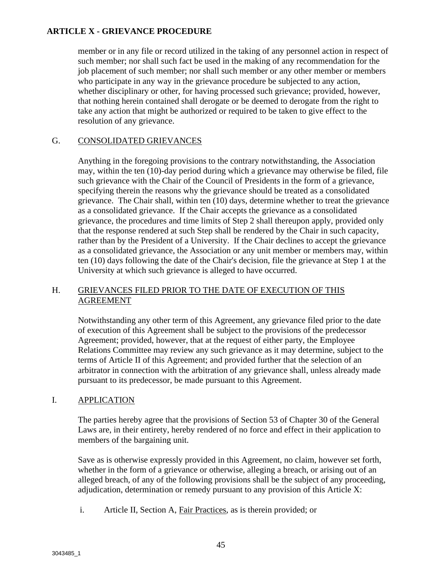member or in any file or record utilized in the taking of any personnel action in respect of such member; nor shall such fact be used in the making of any recommendation for the job placement of such member; nor shall such member or any other member or members who participate in any way in the grievance procedure be subjected to any action, whether disciplinary or other, for having processed such grievance; provided, however, that nothing herein contained shall derogate or be deemed to derogate from the right to take any action that might be authorized or required to be taken to give effect to the resolution of any grievance.

#### G. CONSOLIDATED GRIEVANCES

Anything in the foregoing provisions to the contrary notwithstanding, the Association may, within the ten (10)-day period during which a grievance may otherwise be filed, file such grievance with the Chair of the Council of Presidents in the form of a grievance, specifying therein the reasons why the grievance should be treated as a consolidated grievance. The Chair shall, within ten (10) days, determine whether to treat the grievance as a consolidated grievance. If the Chair accepts the grievance as a consolidated grievance, the procedures and time limits of Step 2 shall thereupon apply, provided only that the response rendered at such Step shall be rendered by the Chair in such capacity, rather than by the President of a University. If the Chair declines to accept the grievance as a consolidated grievance, the Association or any unit member or members may, within ten (10) days following the date of the Chair's decision, file the grievance at Step 1 at the University at which such grievance is alleged to have occurred.

#### H. GRIEVANCES FILED PRIOR TO THE DATE OF EXECUTION OF THIS AGREEMENT

Notwithstanding any other term of this Agreement, any grievance filed prior to the date of execution of this Agreement shall be subject to the provisions of the predecessor Agreement; provided, however, that at the request of either party, the Employee Relations Committee may review any such grievance as it may determine, subject to the terms of Article II of this Agreement; and provided further that the selection of an arbitrator in connection with the arbitration of any grievance shall, unless already made pursuant to its predecessor, be made pursuant to this Agreement.

#### I. APPLICATION

The parties hereby agree that the provisions of Section 53 of Chapter 30 of the General Laws are, in their entirety, hereby rendered of no force and effect in their application to members of the bargaining unit.

Save as is otherwise expressly provided in this Agreement, no claim, however set forth, whether in the form of a grievance or otherwise, alleging a breach, or arising out of an alleged breach, of any of the following provisions shall be the subject of any proceeding, adjudication, determination or remedy pursuant to any provision of this Article X:

i. Article II, Section A, Fair Practices, as is therein provided; or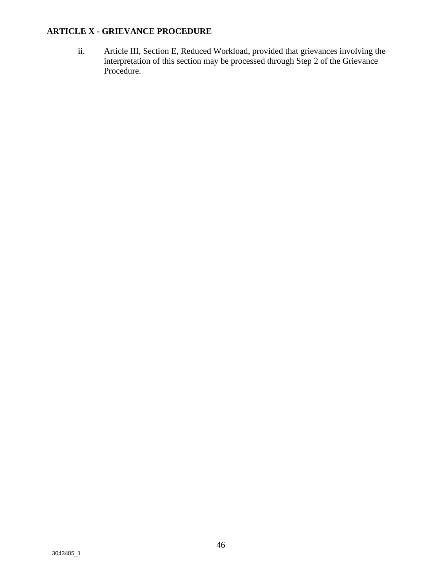ii. Article III, Section E, Reduced Workload, provided that grievances involving the interpretation of this section may be processed through Step 2 of the Grievance Procedure.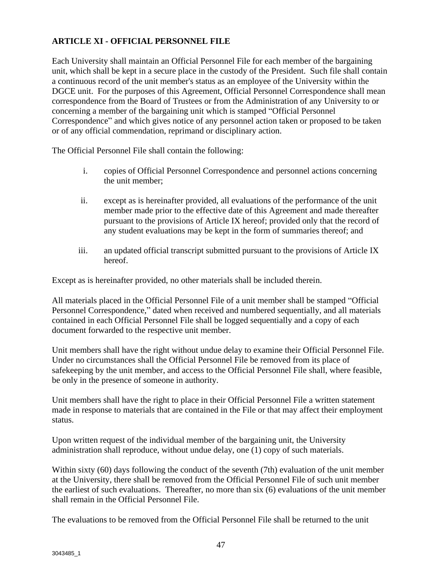#### **ARTICLE XI - OFFICIAL PERSONNEL FILE**

Each University shall maintain an Official Personnel File for each member of the bargaining unit, which shall be kept in a secure place in the custody of the President. Such file shall contain a continuous record of the unit member's status as an employee of the University within the DGCE unit. For the purposes of this Agreement, Official Personnel Correspondence shall mean correspondence from the Board of Trustees or from the Administration of any University to or concerning a member of the bargaining unit which is stamped "Official Personnel Correspondence" and which gives notice of any personnel action taken or proposed to be taken or of any official commendation, reprimand or disciplinary action.

The Official Personnel File shall contain the following:

- i. copies of Official Personnel Correspondence and personnel actions concerning the unit member;
- ii. except as is hereinafter provided, all evaluations of the performance of the unit member made prior to the effective date of this Agreement and made thereafter pursuant to the provisions of Article IX hereof; provided only that the record of any student evaluations may be kept in the form of summaries thereof; and
- iii. an updated official transcript submitted pursuant to the provisions of Article IX hereof.

Except as is hereinafter provided, no other materials shall be included therein.

All materials placed in the Official Personnel File of a unit member shall be stamped "Official Personnel Correspondence," dated when received and numbered sequentially, and all materials contained in each Official Personnel File shall be logged sequentially and a copy of each document forwarded to the respective unit member.

Unit members shall have the right without undue delay to examine their Official Personnel File. Under no circumstances shall the Official Personnel File be removed from its place of safekeeping by the unit member, and access to the Official Personnel File shall, where feasible, be only in the presence of someone in authority.

Unit members shall have the right to place in their Official Personnel File a written statement made in response to materials that are contained in the File or that may affect their employment status.

Upon written request of the individual member of the bargaining unit, the University administration shall reproduce, without undue delay, one (1) copy of such materials.

Within sixty (60) days following the conduct of the seventh (7th) evaluation of the unit member at the University, there shall be removed from the Official Personnel File of such unit member the earliest of such evaluations. Thereafter, no more than six (6) evaluations of the unit member shall remain in the Official Personnel File.

The evaluations to be removed from the Official Personnel File shall be returned to the unit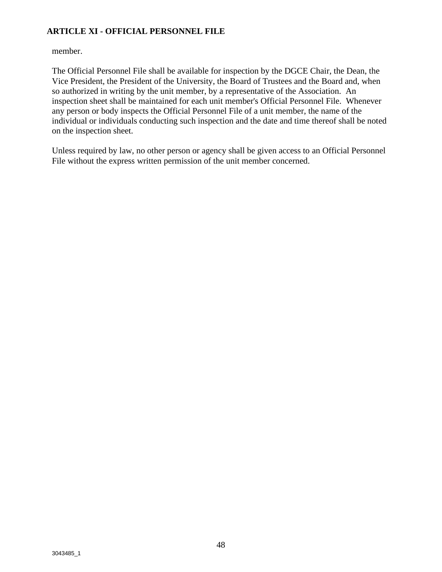#### **ARTICLE XI - OFFICIAL PERSONNEL FILE**

member.

The Official Personnel File shall be available for inspection by the DGCE Chair, the Dean, the Vice President, the President of the University, the Board of Trustees and the Board and, when so authorized in writing by the unit member, by a representative of the Association. An inspection sheet shall be maintained for each unit member's Official Personnel File. Whenever any person or body inspects the Official Personnel File of a unit member, the name of the individual or individuals conducting such inspection and the date and time thereof shall be noted on the inspection sheet.

Unless required by law, no other person or agency shall be given access to an Official Personnel File without the express written permission of the unit member concerned.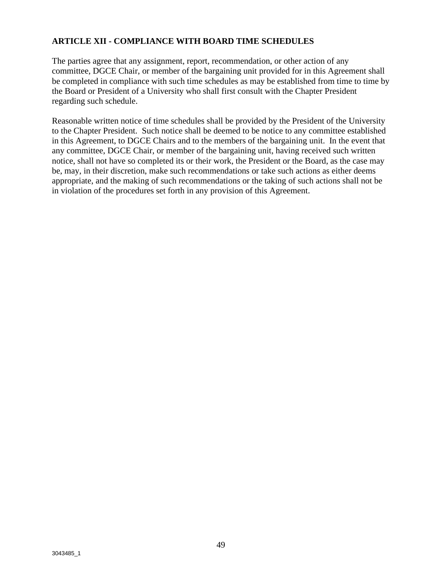#### **ARTICLE XII - COMPLIANCE WITH BOARD TIME SCHEDULES**

The parties agree that any assignment, report, recommendation, or other action of any committee, DGCE Chair, or member of the bargaining unit provided for in this Agreement shall be completed in compliance with such time schedules as may be established from time to time by the Board or President of a University who shall first consult with the Chapter President regarding such schedule.

Reasonable written notice of time schedules shall be provided by the President of the University to the Chapter President. Such notice shall be deemed to be notice to any committee established in this Agreement, to DGCE Chairs and to the members of the bargaining unit. In the event that any committee, DGCE Chair, or member of the bargaining unit, having received such written notice, shall not have so completed its or their work, the President or the Board, as the case may be, may, in their discretion, make such recommendations or take such actions as either deems appropriate, and the making of such recommendations or the taking of such actions shall not be in violation of the procedures set forth in any provision of this Agreement.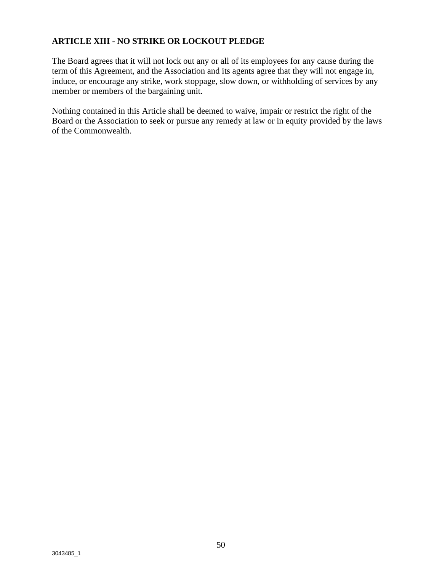#### **ARTICLE XIII - NO STRIKE OR LOCKOUT PLEDGE**

The Board agrees that it will not lock out any or all of its employees for any cause during the term of this Agreement, and the Association and its agents agree that they will not engage in, induce, or encourage any strike, work stoppage, slow down, or withholding of services by any member or members of the bargaining unit.

Nothing contained in this Article shall be deemed to waive, impair or restrict the right of the Board or the Association to seek or pursue any remedy at law or in equity provided by the laws of the Commonwealth.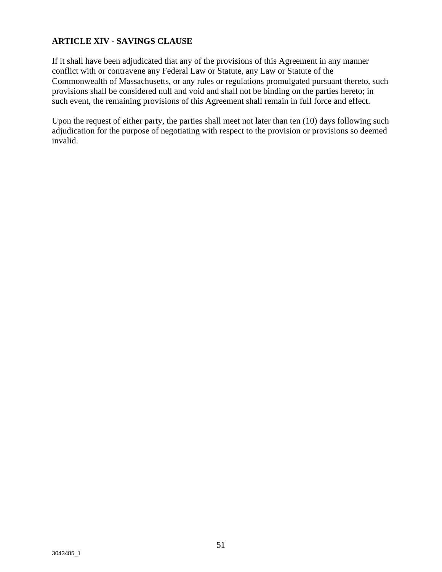#### **ARTICLE XIV - SAVINGS CLAUSE**

If it shall have been adjudicated that any of the provisions of this Agreement in any manner conflict with or contravene any Federal Law or Statute, any Law or Statute of the Commonwealth of Massachusetts, or any rules or regulations promulgated pursuant thereto, such provisions shall be considered null and void and shall not be binding on the parties hereto; in such event, the remaining provisions of this Agreement shall remain in full force and effect.

Upon the request of either party, the parties shall meet not later than ten (10) days following such adjudication for the purpose of negotiating with respect to the provision or provisions so deemed invalid.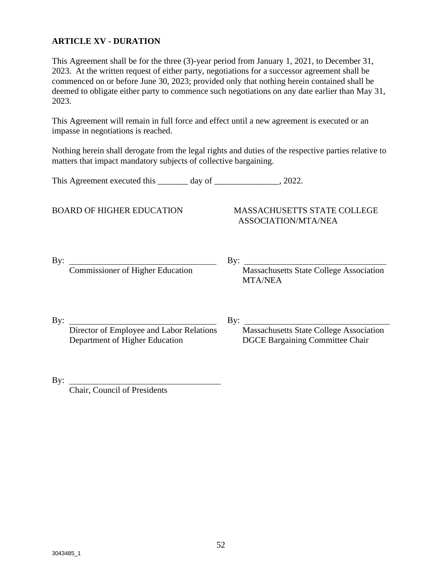#### **ARTICLE XV - DURATION**

This Agreement shall be for the three (3)-year period from January 1, 2021, to December 31, 2023. At the written request of either party, negotiations for a successor agreement shall be commenced on or before June 30, 2023; provided only that nothing herein contained shall be deemed to obligate either party to commence such negotiations on any date earlier than May 31, 2023.

This Agreement will remain in full force and effect until a new agreement is executed or an impasse in negotiations is reached.

Nothing herein shall derogate from the legal rights and duties of the respective parties relative to matters that impact mandatory subjects of collective bargaining.

This Agreement executed this \_\_\_\_\_\_\_ day of \_\_\_\_\_\_\_\_\_\_\_\_\_, 2022.

#### BOARD OF HIGHER EDUCATION MASSACHUSETTS STATE COLLEGE ASSOCIATION/MTA/NEA

By: Commissioner of Higher Education

By:  $\frac{M}{\text{Massachusetts State College Association}}$ MTA/NEA

By:  $\qquad \qquad \qquad$  By:

 Director of Employee and Labor Relations Massachusetts State College Association Department of Higher Education DGCE Bargaining Committee Chair

 $By:$ 

Chair, Council of Presidents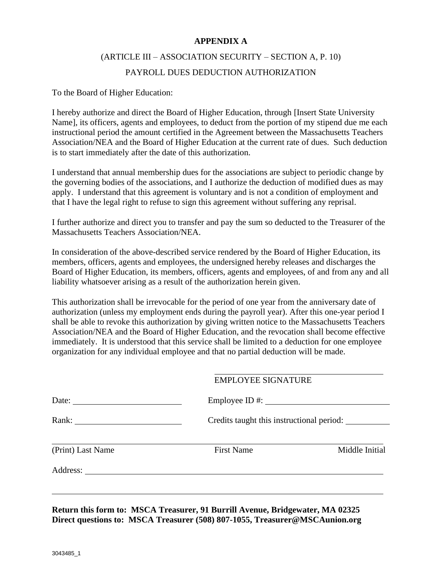#### **APPENDIX A**

### (ARTICLE III – ASSOCIATION SECURITY – SECTION A, P. 10) PAYROLL DUES DEDUCTION AUTHORIZATION

To the Board of Higher Education:

I hereby authorize and direct the Board of Higher Education, through [Insert State University Name], its officers, agents and employees, to deduct from the portion of my stipend due me each instructional period the amount certified in the Agreement between the Massachusetts Teachers Association/NEA and the Board of Higher Education at the current rate of dues. Such deduction is to start immediately after the date of this authorization.

I understand that annual membership dues for the associations are subject to periodic change by the governing bodies of the associations, and I authorize the deduction of modified dues as may apply. I understand that this agreement is voluntary and is not a condition of employment and that I have the legal right to refuse to sign this agreement without suffering any reprisal.

I further authorize and direct you to transfer and pay the sum so deducted to the Treasurer of the Massachusetts Teachers Association/NEA.

In consideration of the above-described service rendered by the Board of Higher Education, its members, officers, agents and employees, the undersigned hereby releases and discharges the Board of Higher Education, its members, officers, agents and employees, of and from any and all liability whatsoever arising as a result of the authorization herein given.

This authorization shall be irrevocable for the period of one year from the anniversary date of authorization (unless my employment ends during the payroll year). After this one-year period I shall be able to revoke this authorization by giving written notice to the Massachusetts Teachers Association/NEA and the Board of Higher Education, and the revocation shall become effective immediately. It is understood that this service shall be limited to a deduction for one employee organization for any individual employee and that no partial deduction will be made.

|                       | <b>EMPLOYEE SIGNATURE</b> |                                                             |
|-----------------------|---------------------------|-------------------------------------------------------------|
| Date:                 |                           | Employee ID #: $\_\_\_\_\_\_\_\_\_\_\_\_\_\_\_\_\_\_\_\_\_$ |
| Rank: $\qquad \qquad$ |                           | Credits taught this instructional period:                   |
| (Print) Last Name     | <b>First Name</b>         | Middle Initial                                              |
| Address:              |                           |                                                             |

**Return this form to: MSCA Treasurer, 91 Burrill Avenue, Bridgewater, MA 02325 Direct questions to: MSCA Treasurer (508) 807-1055, Treasurer@MSCAunion.org**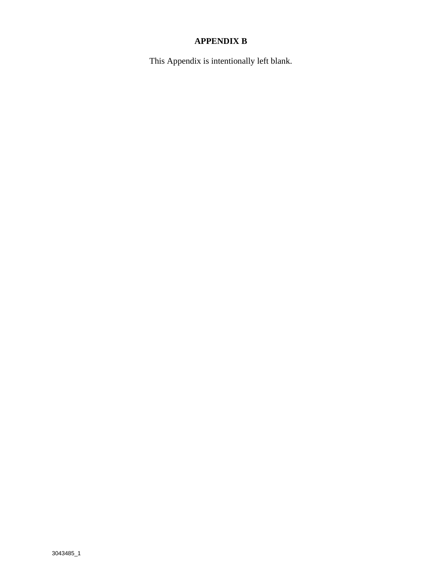### **APPENDIX B**

This Appendix is intentionally left blank.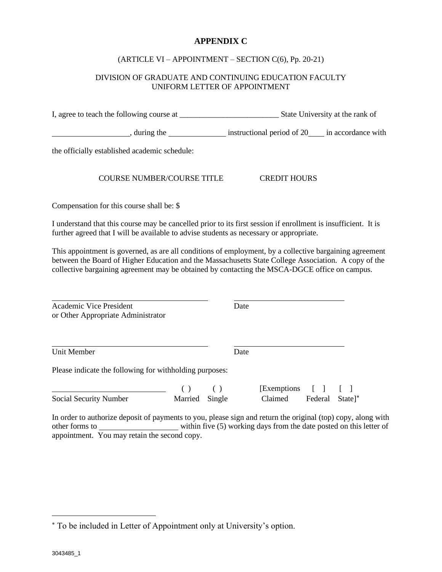#### **APPENDIX C**

#### (ARTICLE VI – APPOINTMENT – SECTION C(6), Pp. 20-21)

#### DIVISION OF GRADUATE AND CONTINUING EDUCATION FACULTY UNIFORM LETTER OF APPOINTMENT

I, agree to teach the following course at \_\_\_\_\_\_\_\_\_\_\_\_\_\_\_\_\_\_\_\_\_\_\_\_\_ State University at the rank of

, during the instructional period of 20 in accordance with

the officially established academic schedule:

#### COURSE NUMBER/COURSE TITLE CREDIT HOURS

Compensation for this course shall be: \$

I understand that this course may be cancelled prior to its first session if enrollment is insufficient. It is further agreed that I will be available to advise students as necessary or appropriate.

This appointment is governed, as are all conditions of employment, by a collective bargaining agreement between the Board of Higher Education and the Massachusetts State College Association. A copy of the collective bargaining agreement may be obtained by contacting the MSCA-DGCE office on campus.

Academic Vice President Date or Other Appropriate Administrator

Unit Member Date

Please indicate the following for withholding purposes:

|                        |                | [Exemptions [ ] [ ]                |  |
|------------------------|----------------|------------------------------------|--|
| Social Security Number | Married Single | Claimed Federal State <sup>*</sup> |  |

In order to authorize deposit of payments to you, please sign and return the original (top) copy, along with other forms to within five (5) working days from the date posted on this letter of appointment. You may retain the second copy.

To be included in Letter of Appointment only at University's option.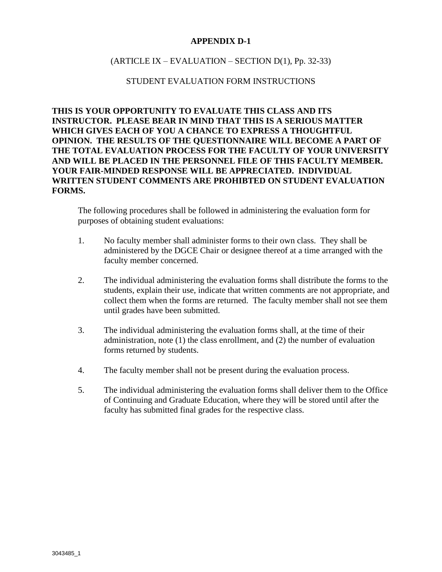#### **APPENDIX D-1**

#### $(ARTICLE IX – EVALUATION – SECTION D(1), Pp. 32-33)$

#### STUDENT EVALUATION FORM INSTRUCTIONS

**THIS IS YOUR OPPORTUNITY TO EVALUATE THIS CLASS AND ITS INSTRUCTOR. PLEASE BEAR IN MIND THAT THIS IS A SERIOUS MATTER WHICH GIVES EACH OF YOU A CHANCE TO EXPRESS A THOUGHTFUL OPINION. THE RESULTS OF THE QUESTIONNAIRE WILL BECOME A PART OF THE TOTAL EVALUATION PROCESS FOR THE FACULTY OF YOUR UNIVERSITY AND WILL BE PLACED IN THE PERSONNEL FILE OF THIS FACULTY MEMBER. YOUR FAIR-MINDED RESPONSE WILL BE APPRECIATED. INDIVIDUAL WRITTEN STUDENT COMMENTS ARE PROHIBTED ON STUDENT EVALUATION FORMS.**

The following procedures shall be followed in administering the evaluation form for purposes of obtaining student evaluations:

- 1. No faculty member shall administer forms to their own class. They shall be administered by the DGCE Chair or designee thereof at a time arranged with the faculty member concerned.
- 2. The individual administering the evaluation forms shall distribute the forms to the students, explain their use, indicate that written comments are not appropriate, and collect them when the forms are returned. The faculty member shall not see them until grades have been submitted.
- 3. The individual administering the evaluation forms shall, at the time of their administration, note (1) the class enrollment, and (2) the number of evaluation forms returned by students.
- 4. The faculty member shall not be present during the evaluation process.
- 5. The individual administering the evaluation forms shall deliver them to the Office of Continuing and Graduate Education, where they will be stored until after the faculty has submitted final grades for the respective class.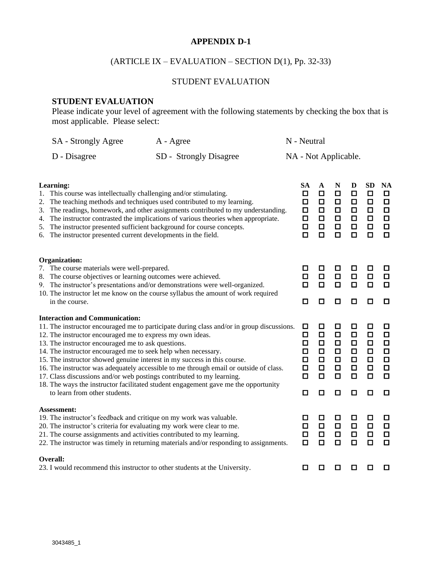#### **APPENDIX D-1**

### (ARTICLE IX – EVALUATION – SECTION D(1), Pp. 32-33)

#### STUDENT EVALUATION

#### **STUDENT EVALUATION**

Please indicate your level of agreement with the following statements by checking the box that is most applicable. Please select:

| SA - Strongly Agree | A - Agree              | N - Neutral          |
|---------------------|------------------------|----------------------|
| D - Disagree        | SD - Strongly Disagree | NA - Not Applicable. |

| Learning:<br>This course was intellectually challenging and/or stimulating.<br>1.<br>The teaching methods and techniques used contributed to my learning.<br>2.<br>The readings, homework, and other assignments contributed to my understanding.<br>3.<br>The instructor contrasted the implications of various theories when appropriate.<br>4.<br>The instructor presented sufficient background for course concepts.<br>5.<br>The instructor presented current developments in the field.<br>6.                                                                                                                                                                                         | <b>SA</b><br>□<br>□<br>□<br>$\Box$<br>$\Box$<br>◘ | A<br>□<br>$\Box$<br>◻<br>$\Box$<br>О<br>$\Box$      | N<br>◻<br>□<br>◻<br>$\Box$<br>◻<br>◻      | D<br>$\Box$<br>□<br>□<br>$\Box$<br>$\Box$<br>$\Box$           | <b>SD</b><br>$\Box$<br>□<br>$\Box$<br>$\Box$<br>$\Box$<br>$\Box$   | <b>NA</b><br>$\Box$<br>$\Box$<br>$\Box$<br>$\Box$<br>$\Box$<br>$\Box$ |
|---------------------------------------------------------------------------------------------------------------------------------------------------------------------------------------------------------------------------------------------------------------------------------------------------------------------------------------------------------------------------------------------------------------------------------------------------------------------------------------------------------------------------------------------------------------------------------------------------------------------------------------------------------------------------------------------|---------------------------------------------------|-----------------------------------------------------|-------------------------------------------|---------------------------------------------------------------|--------------------------------------------------------------------|-----------------------------------------------------------------------|
| <b>Organization:</b><br>7. The course materials were well-prepared.<br>The course objectives or learning outcomes were achieved.<br>8.<br>9. The instructor's presentations and/or demonstrations were well-organized.<br>10. The instructor let me know on the course syllabus the amount of work required<br>in the course.                                                                                                                                                                                                                                                                                                                                                               | □<br>□<br>□<br>О                                  | ◻<br>$\Box$<br>□<br>□                               | □<br>□<br>$\Box$<br>◻                     | ◻<br>$\Box$<br>$\Box$<br>◻                                    | □<br>$\Box$<br>$\Box$<br>□                                         | □<br>$\Box$<br>$\Box$<br>O                                            |
| <b>Interaction and Communication:</b><br>11. The instructor encouraged me to participate during class and/or in group discussions.<br>12. The instructor encouraged me to express my own ideas.<br>13. The instructor encouraged me to ask questions.<br>14. The instructor encouraged me to seek help when necessary.<br>15. The instructor showed genuine interest in my success in this course.<br>16. The instructor was adequately accessible to me through email or outside of class.<br>17. Class discussions and/or web postings contributed to my learning.<br>18. The ways the instructor facilitated student engagement gave me the opportunity<br>to learn from other students. | □<br>□<br>□<br>□<br>◻<br>□<br>$\Box$<br>◻         | ◻<br>$\Box$<br>◻<br>◻<br>◻<br>$\Box$<br>$\Box$<br>◻ | ◻<br>$\Box$<br>◻<br>◻<br>◻<br>◻<br>О<br>◻ | ◻<br>$\Box$<br>□<br>$\Box$<br>$\Box$<br>$\Box$<br>$\Box$<br>◻ | □<br>$\Box$<br>$\Box$<br>$\Box$<br>$\Box$<br>$\Box$<br>$\Box$<br>□ | □<br>$\Box$<br>$\Box$<br>$\Box$<br>$\Box$<br>$\Box$<br>$\Box$<br>□    |
| Assessment:<br>19. The instructor's feedback and critique on my work was valuable.<br>20. The instructor's criteria for evaluating my work were clear to me.<br>21. The course assignments and activities contributed to my learning.<br>22. The instructor was timely in returning materials and/or responding to assignments.                                                                                                                                                                                                                                                                                                                                                             | □<br>◻<br>□<br>□                                  | ◻<br>$\Box$<br>$\Box$<br>□                          | ◻<br>$\Box$<br>□<br>О                     | ◻<br>$\Box$<br>$\Box$<br>◻                                    | □<br>$\Box$<br>$\Box$<br>$\Box$                                    | □<br>$\Box$<br>$\Box$<br>$\Box$                                       |
| Overall:<br>23. I would recommend this instructor to other students at the University.                                                                                                                                                                                                                                                                                                                                                                                                                                                                                                                                                                                                      | ◘                                                 | □                                                   | □                                         | ◻                                                             | □                                                                  | ◻                                                                     |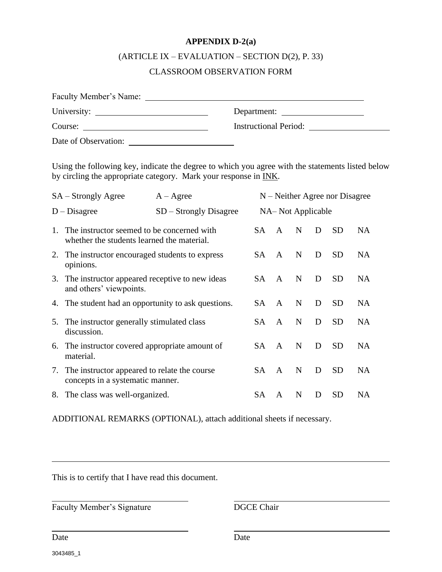#### **APPENDIX D-2(a)**

## (ARTICLE IX – EVALUATION – SECTION D(2), P. 33)

#### CLASSROOM OBSERVATION FORM

| Faculty Member's Name: |                              |
|------------------------|------------------------------|
|                        | Department:                  |
| Course:                | <b>Instructional Period:</b> |
| Date of Observation:   |                              |

Using the following key, indicate the degree to which you agree with the statements listed below by circling the appropriate category. Mark your response in INK.

|    | SA – Strongly Agree                                                                      | $A - \text{Agree}$       |     |              |                   |   | $N$ – Neither Agree nor Disagree |           |
|----|------------------------------------------------------------------------------------------|--------------------------|-----|--------------|-------------------|---|----------------------------------|-----------|
|    | $D - Disagree$                                                                           | $SD - Strongly Disagree$ |     |              | NA-Not Applicable |   |                                  |           |
| 1. | The instructor seemed to be concerned with<br>whether the students learned the material. |                          | SA. | $\mathbf{A}$ | N                 | D | <b>SD</b>                        | <b>NA</b> |
|    | 2. The instructor encouraged students to express<br>opinions.                            |                          | SA. | $\mathsf{A}$ | N                 | D | <b>SD</b>                        | <b>NA</b> |
| 3. | The instructor appeared receptive to new ideas<br>and others' viewpoints.                |                          | SA. | $\mathsf{A}$ | N                 | D | <b>SD</b>                        | <b>NA</b> |
|    | 4. The student had an opportunity to ask questions.                                      |                          | SA. | $\mathbf{A}$ | N                 | D | <b>SD</b>                        | <b>NA</b> |
| 5. | The instructor generally stimulated class<br>discussion.                                 |                          | SA. | $\mathsf{A}$ | N                 | D | <b>SD</b>                        | <b>NA</b> |
|    | 6. The instructor covered appropriate amount of<br>material.                             |                          | SA. | $\mathbf{A}$ | N                 | D | <b>SD</b>                        | <b>NA</b> |
|    | 7. The instructor appeared to relate the course<br>concepts in a systematic manner.      |                          | SA. | $\mathsf{A}$ | N                 | D | <b>SD</b>                        | <b>NA</b> |
|    | 8. The class was well-organized.                                                         |                          | SА  | A            | N                 | D | <b>SD</b>                        | <b>NA</b> |

ADDITIONAL REMARKS (OPTIONAL), attach additional sheets if necessary.

This is to certify that I have read this document.

Faculty Member's Signature DGCE Chair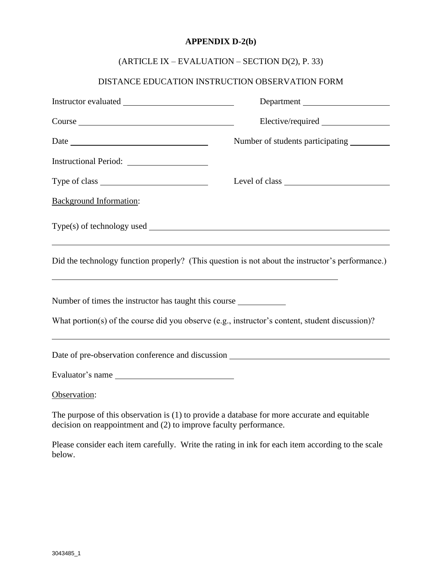#### **APPENDIX D-2(b)**

### (ARTICLE IX – EVALUATION – SECTION D(2), P. 33)

### DISTANCE EDUCATION INSTRUCTION OBSERVATION FORM

|                                                                                  | Department                                                                                       |
|----------------------------------------------------------------------------------|--------------------------------------------------------------------------------------------------|
| Course                                                                           |                                                                                                  |
|                                                                                  | Number of students participating                                                                 |
|                                                                                  |                                                                                                  |
|                                                                                  | Level of class                                                                                   |
| <b>Background Information:</b>                                                   |                                                                                                  |
|                                                                                  |                                                                                                  |
| ,我们也不会有什么。""我们的人,我们也不会有什么?""我们的人,我们也不会有什么?""我们的人,我们也不会有什么?""我们的人,我们也不会有什么?""我们的人 | Did the technology function properly? (This question is not about the instructor's performance.) |
| Number of times the instructor has taught this course                            |                                                                                                  |
|                                                                                  | What portion(s) of the course did you observe (e.g., instructor's content, student discussion)?  |
|                                                                                  |                                                                                                  |
| Evaluator's name                                                                 |                                                                                                  |
| Observation:                                                                     |                                                                                                  |
| decision on reappointment and (2) to improve faculty performance.                | The purpose of this observation is (1) to provide a database for more accurate and equitable     |

Please consider each item carefully. Write the rating in ink for each item according to the scale below.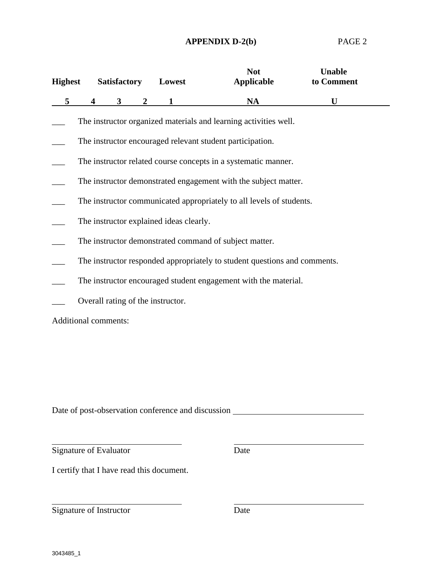#### **APPENDIX D-2(b)** PAGE 2

| <b>Highest</b> |                                                                           | <b>Satisfactory</b> |              | Lowest                            | <b>Not</b><br><b>Applicable</b>                                | <b>Unable</b><br>to Comment |  |  |  |
|----------------|---------------------------------------------------------------------------|---------------------|--------------|-----------------------------------|----------------------------------------------------------------|-----------------------------|--|--|--|
| 5              | 4                                                                         | 3                   | $\mathbf{2}$ |                                   | <b>NA</b>                                                      | U                           |  |  |  |
|                | The instructor organized materials and learning activities well.          |                     |              |                                   |                                                                |                             |  |  |  |
|                | The instructor encouraged relevant student participation.                 |                     |              |                                   |                                                                |                             |  |  |  |
|                |                                                                           |                     |              |                                   | The instructor related course concepts in a systematic manner. |                             |  |  |  |
|                | The instructor demonstrated engagement with the subject matter.           |                     |              |                                   |                                                                |                             |  |  |  |
|                | The instructor communicated appropriately to all levels of students.      |                     |              |                                   |                                                                |                             |  |  |  |
|                | The instructor explained ideas clearly.                                   |                     |              |                                   |                                                                |                             |  |  |  |
|                | The instructor demonstrated command of subject matter.                    |                     |              |                                   |                                                                |                             |  |  |  |
|                | The instructor responded appropriately to student questions and comments. |                     |              |                                   |                                                                |                             |  |  |  |
|                | The instructor encouraged student engagement with the material.           |                     |              |                                   |                                                                |                             |  |  |  |
|                |                                                                           |                     |              | Overall rating of the instructor. |                                                                |                             |  |  |  |
|                | Additional comments:                                                      |                     |              |                                   |                                                                |                             |  |  |  |

Date of post-observation conference and discussion \_\_\_\_\_\_\_\_\_\_\_\_\_\_\_\_\_\_\_\_\_\_\_\_\_\_\_\_\_\_

Signature of Evaluator Date

I certify that I have read this document.

Signature of Instructor Date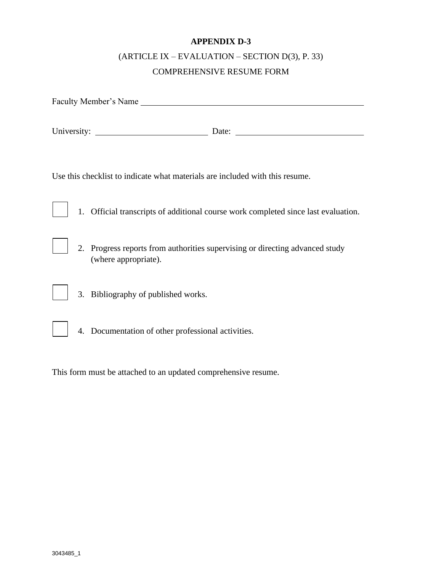### **APPENDIX D-3**

### (ARTICLE IX – EVALUATION – SECTION D(3), P. 33) COMPREHENSIVE RESUME FORM

| Faculty Member's Name                                                                                |  |  |  |  |
|------------------------------------------------------------------------------------------------------|--|--|--|--|
|                                                                                                      |  |  |  |  |
| Use this checklist to indicate what materials are included with this resume.                         |  |  |  |  |
| 1. Official transcripts of additional course work completed since last evaluation.                   |  |  |  |  |
| 2. Progress reports from authorities supervising or directing advanced study<br>(where appropriate). |  |  |  |  |
| 3. Bibliography of published works.                                                                  |  |  |  |  |
| 4. Documentation of other professional activities.                                                   |  |  |  |  |
|                                                                                                      |  |  |  |  |

This form must be attached to an updated comprehensive resume.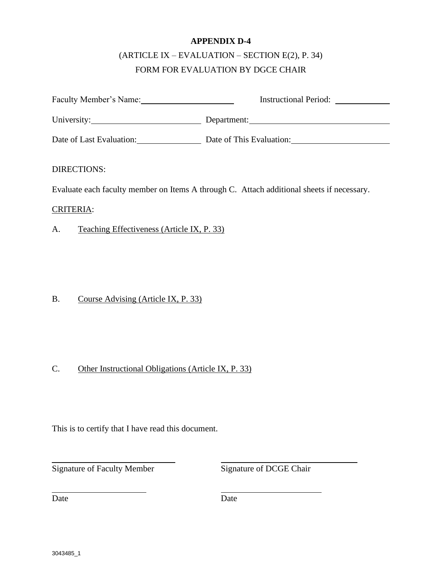#### **APPENDIX D-4**

### (ARTICLE IX – EVALUATION – SECTION E(2), P. 34) FORM FOR EVALUATION BY DGCE CHAIR

|                                                  | Instructional Period:                                                                     |
|--------------------------------------------------|-------------------------------------------------------------------------------------------|
|                                                  | Department:                                                                               |
|                                                  | Date of Last Evaluation: Date of This Evaluation:                                         |
| <b>DIRECTIONS:</b>                               |                                                                                           |
|                                                  | Evaluate each faculty member on Items A through C. Attach additional sheets if necessary. |
| <b>CRITERIA:</b>                                 |                                                                                           |
| А.<br>Teaching Effectiveness (Article IX, P. 33) |                                                                                           |
|                                                  |                                                                                           |

### B. Course Advising (Article IX, P. 33)

#### C. Other Instructional Obligations (Article IX, P. 33)

This is to certify that I have read this document.

Signature of Faculty Member Signature of DCGE Chair

Date Date Date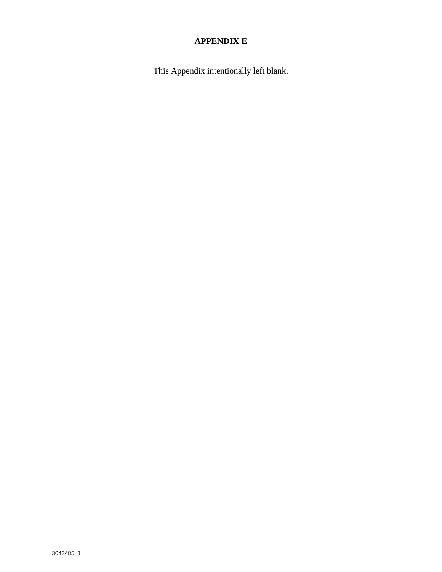### **APPENDIX E**

This Appendix intentionally left blank.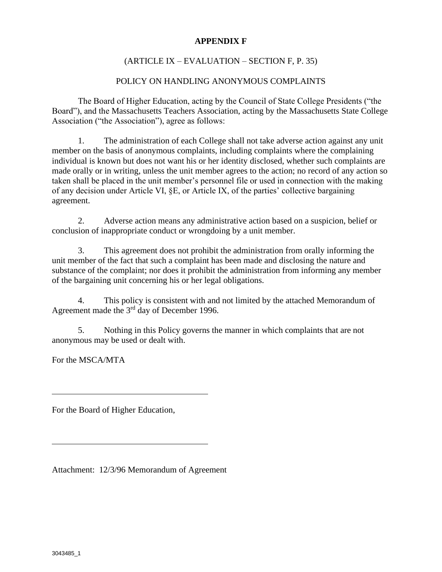#### **APPENDIX F**

#### (ARTICLE IX – EVALUATION – SECTION F, P. 35)

#### POLICY ON HANDLING ANONYMOUS COMPLAINTS

The Board of Higher Education, acting by the Council of State College Presidents ("the Board"), and the Massachusetts Teachers Association, acting by the Massachusetts State College Association ("the Association"), agree as follows:

1. The administration of each College shall not take adverse action against any unit member on the basis of anonymous complaints, including complaints where the complaining individual is known but does not want his or her identity disclosed, whether such complaints are made orally or in writing, unless the unit member agrees to the action; no record of any action so taken shall be placed in the unit member's personnel file or used in connection with the making of any decision under Article VI, §E, or Article IX, of the parties' collective bargaining agreement.

2. Adverse action means any administrative action based on a suspicion, belief or conclusion of inappropriate conduct or wrongdoing by a unit member.

3. This agreement does not prohibit the administration from orally informing the unit member of the fact that such a complaint has been made and disclosing the nature and substance of the complaint; nor does it prohibit the administration from informing any member of the bargaining unit concerning his or her legal obligations.

4. This policy is consistent with and not limited by the attached Memorandum of Agreement made the 3<sup>rd</sup> day of December 1996.

5. Nothing in this Policy governs the manner in which complaints that are not anonymous may be used or dealt with.

For the MSCA/MTA

For the Board of Higher Education,

Attachment: 12/3/96 Memorandum of Agreement